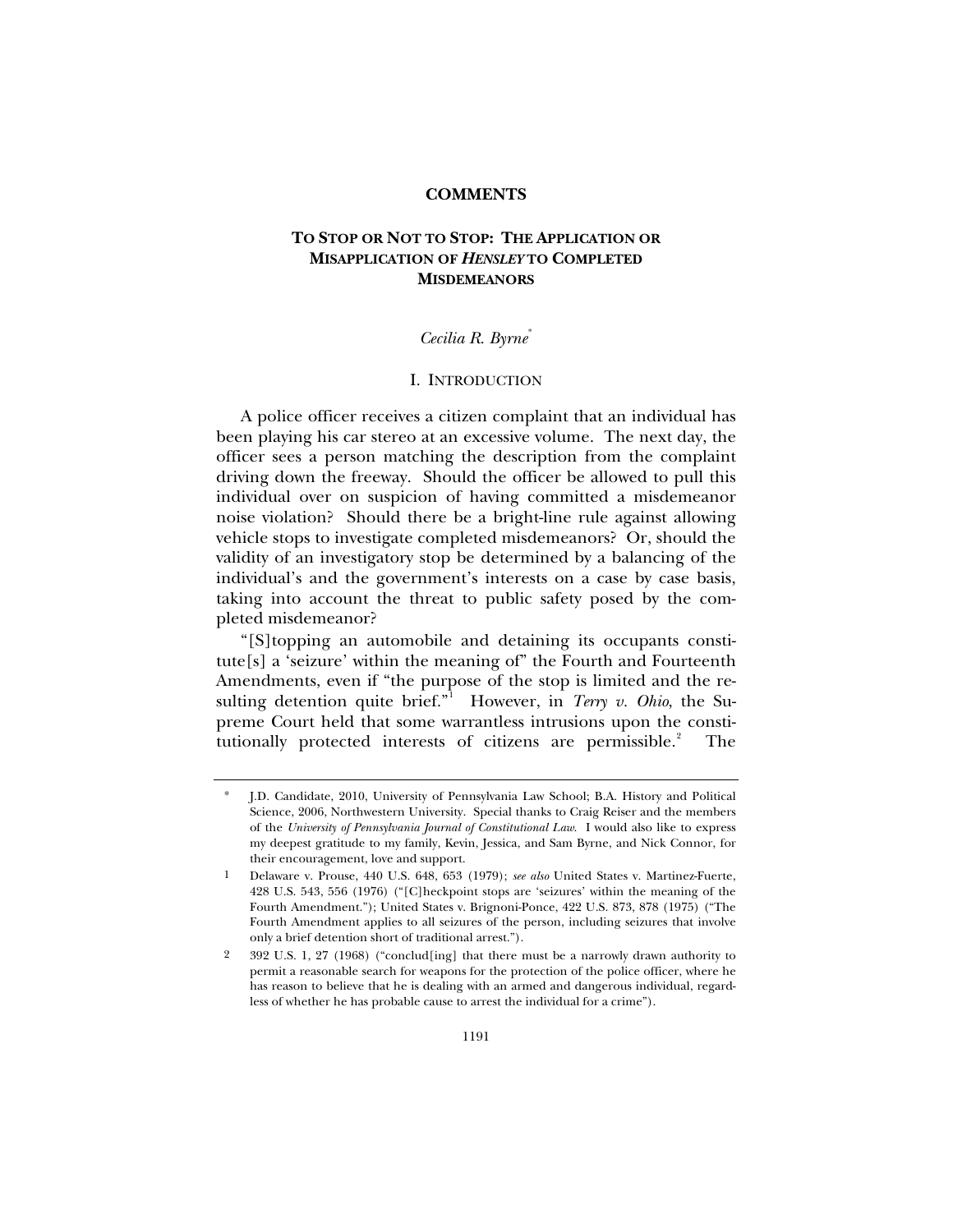### **COMMENTS**

# **TO STOP OR NOT TO STOP: THE APPLICATION OR MISAPPLICATION OF** *HENSLEY* **TO COMPLETED MISDEMEANORS**

## *Cecilia R. Byrne*[\\*](#page-0-0)

#### I. INTRODUCTION

A police officer receives a citizen complaint that an individual has been playing his car stereo at an excessive volume. The next day, the officer sees a person matching the description from the complaint driving down the freeway. Should the officer be allowed to pull this individual over on suspicion of having committed a misdemeanor noise violation? Should there be a bright-line rule against allowing vehicle stops to investigate completed misdemeanors? Or, should the validity of an investigatory stop be determined by a balancing of the individual's and the government's interests on a case by case basis, taking into account the threat to public safety posed by the completed misdemeanor?

"[S]topping an automobile and detaining its occupants constitute[s] a 'seizure' within the meaning of" the Fourth and Fourteenth Amendments, even if "the purpose of the stop is limited and the re-sulting detention quite brief."<sup>[1](#page-0-1)</sup> However, in *Terry v. Ohio*, the Supreme Court held that some warrantless intrusions upon the constitutionally protected interests of citizens are permissible. $2^2$  $2^2$ The

<span id="page-0-0"></span><sup>\*</sup> J.D. Candidate, 2010, University of Pennsylvania Law School; B.A. History and Political Science, 2006, Northwestern University. Special thanks to Craig Reiser and the members of the *University of Pennsylvania Journal of Constitutional Law*. I would also like to express my deepest gratitude to my family, Kevin, Jessica, and Sam Byrne, and Nick Connor, for their encouragement, love and support.

<span id="page-0-1"></span><sup>1</sup> Delaware v. Prouse, 440 U.S. 648, 653 (1979); *see also* United States v. Martinez-Fuerte, 428 U.S. 543, 556 (1976) ("[C]heckpoint stops are 'seizures' within the meaning of the Fourth Amendment."); United States v. Brignoni-Ponce, 422 U.S. 873, 878 (1975) ("The Fourth Amendment applies to all seizures of the person, including seizures that involve only a brief detention short of traditional arrest.").

<span id="page-0-2"></span><sup>2 392</sup> U.S. 1, 27 (1968) ("conclud[ing] that there must be a narrowly drawn authority to permit a reasonable search for weapons for the protection of the police officer, where he has reason to believe that he is dealing with an armed and dangerous individual, regardless of whether he has probable cause to arrest the individual for a crime").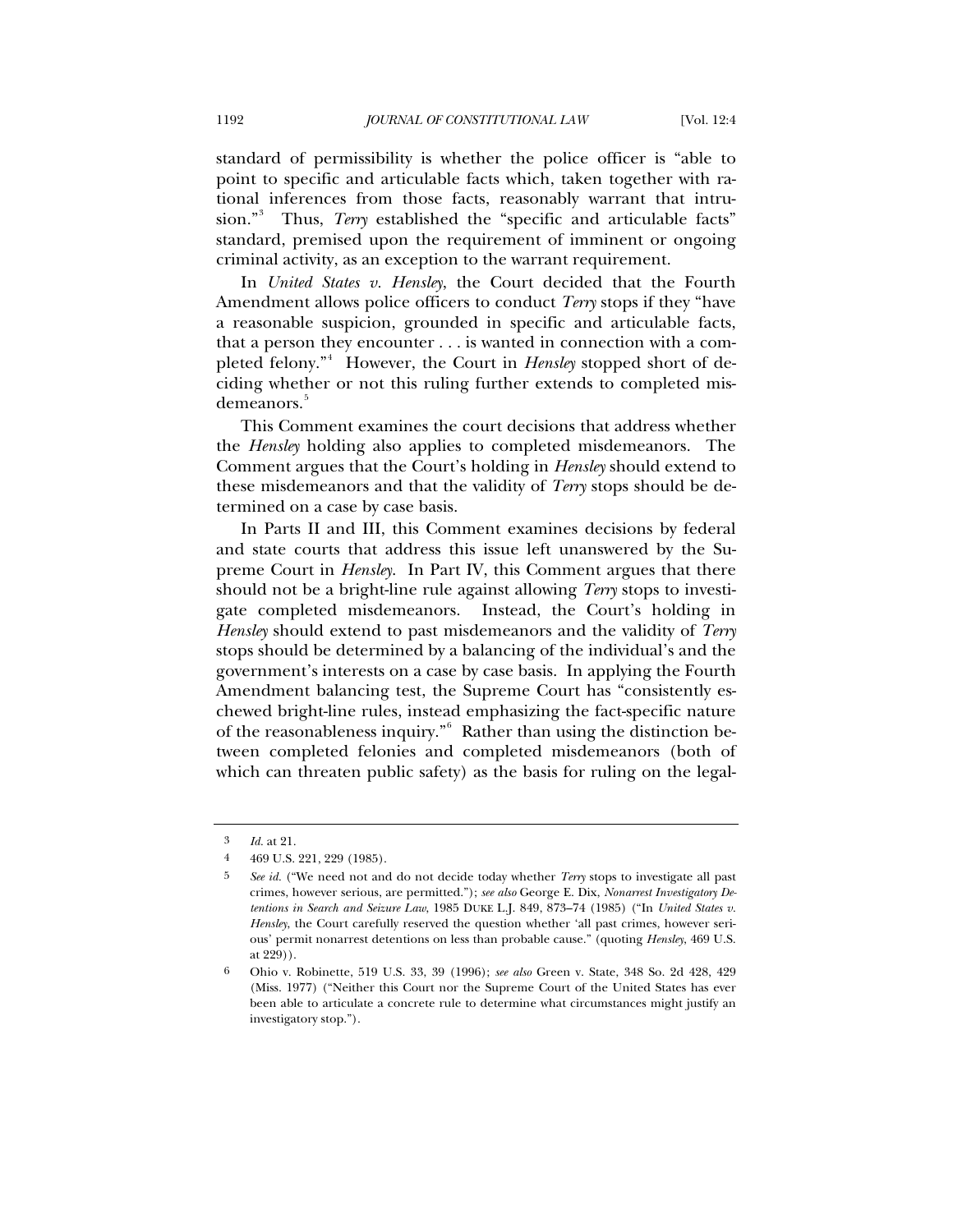standard of permissibility is whether the police officer is "able to point to specific and articulable facts which, taken together with rational inferences from those facts, reasonably warrant that intrusion."[3](#page-1-0) Thus, *Terry* established the "specific and articulable facts" standard, premised upon the requirement of imminent or ongoing criminal activity, as an exception to the warrant requirement.

In *United States v. Hensley*, the Court decided that the Fourth Amendment allows police officers to conduct *Terry* stops if they "have a reasonable suspicion, grounded in specific and articulable facts, that a person they encounter . . . is wanted in connection with a com-pleted felony."<sup>[4](#page-1-1)</sup> However, the Court in *Hensley* stopped short of deciding whether or not this ruling further extends to completed mis-demeanors.<sup>[5](#page-1-2)</sup>

This Comment examines the court decisions that address whether the *Hensley* holding also applies to completed misdemeanors. The Comment argues that the Court's holding in *Hensley* should extend to these misdemeanors and that the validity of *Terry* stops should be determined on a case by case basis.

In Parts II and III, this Comment examines decisions by federal and state courts that address this issue left unanswered by the Supreme Court in *Hensley*. In Part IV, this Comment argues that there should not be a bright-line rule against allowing *Terry* stops to investigate completed misdemeanors. Instead, the Court's holding in *Hensley* should extend to past misdemeanors and the validity of *Terry* stops should be determined by a balancing of the individual's and the government's interests on a case by case basis. In applying the Fourth Amendment balancing test, the Supreme Court has "consistently eschewed bright-line rules, instead emphasizing the fact-specific nature of the reasonableness inquiry." Rather than using the distinction between completed felonies and completed misdemeanors (both of which can threaten public safety) as the basis for ruling on the legal-

<span id="page-1-0"></span><sup>3</sup> *Id.* at 21.

<sup>4 469</sup> U.S. 221, 229 (1985).

<span id="page-1-2"></span><span id="page-1-1"></span><sup>5</sup> *See id.* ("We need not and do not decide today whether *Terry* stops to investigate all past crimes, however serious, are permitted."); *see also* George E. Dix, *Nonarrest Investigatory Detentions in Search and Seizure Law*, 1985 DUKE L.J. 849, 873–74 (1985) ("In *United States v. Hensley*, the Court carefully reserved the question whether 'all past crimes, however serious' permit nonarrest detentions on less than probable cause." (quoting *Hensley*, 469 U.S. at 229)).

<span id="page-1-3"></span><sup>6</sup> Ohio v. Robinette, 519 U.S. 33, 39 (1996); *see also* Green v. State, 348 So. 2d 428, 429 (Miss. 1977) ("Neither this Court nor the Supreme Court of the United States has ever been able to articulate a concrete rule to determine what circumstances might justify an investigatory stop.").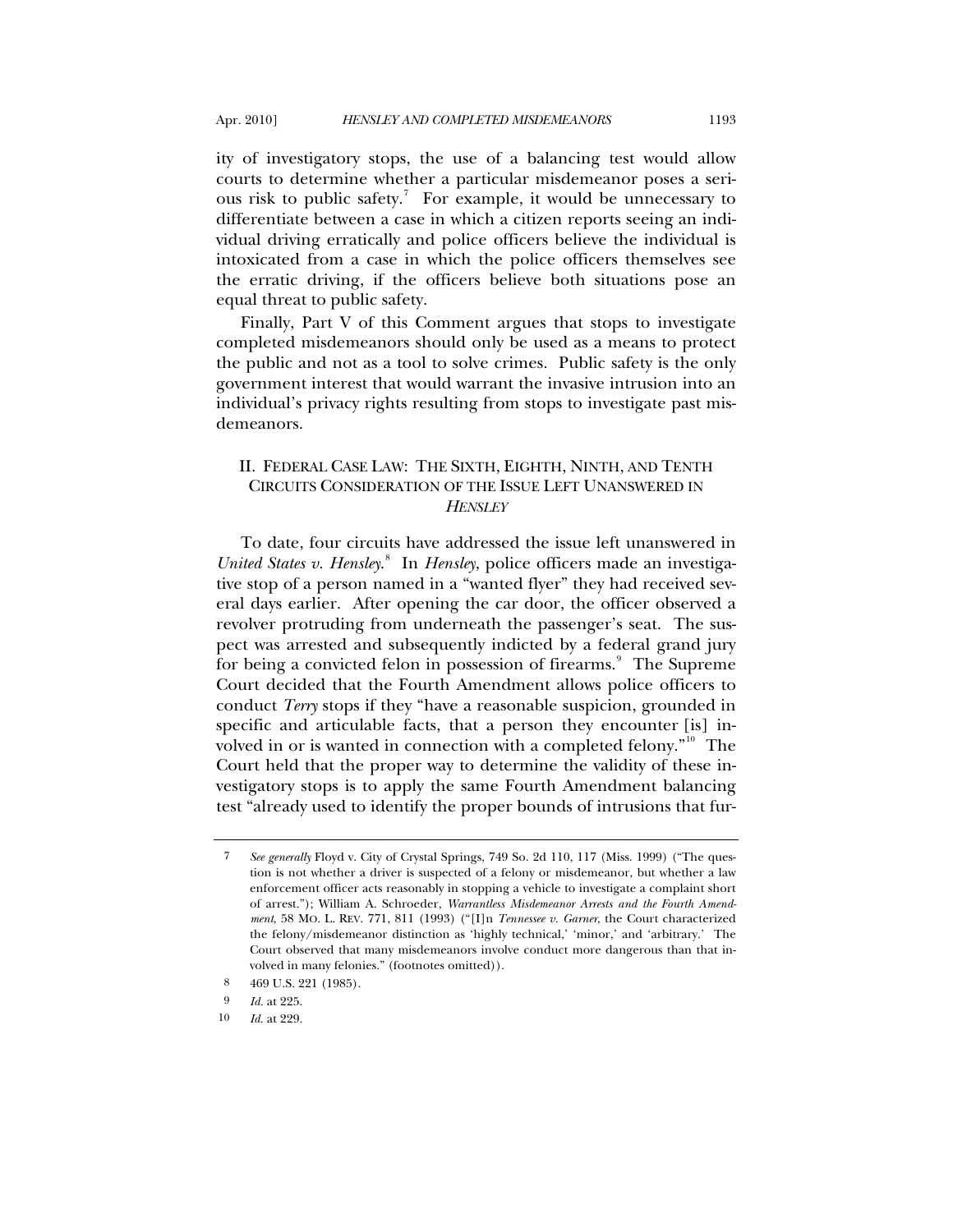ity of investigatory stops, the use of a balancing test would allow courts to determine whether a particular misdemeanor poses a seri-ous risk to public safety.<sup>[7](#page-2-0)</sup> For example, it would be unnecessary to differentiate between a case in which a citizen reports seeing an individual driving erratically and police officers believe the individual is intoxicated from a case in which the police officers themselves see the erratic driving, if the officers believe both situations pose an equal threat to public safety.

Finally, Part V of this Comment argues that stops to investigate completed misdemeanors should only be used as a means to protect the public and not as a tool to solve crimes. Public safety is the only government interest that would warrant the invasive intrusion into an individual's privacy rights resulting from stops to investigate past misdemeanors.

## II. FEDERAL CASE LAW: THE SIXTH, EIGHTH, NINTH, AND TENTH CIRCUITS CONSIDERATION OF THE ISSUE LEFT UNANSWERED IN *HENSLEY*

To date, four circuits have addressed the issue left unanswered in United States v. Hensley.<sup>[8](#page-2-1)</sup> In *Hensley*, police officers made an investigative stop of a person named in a "wanted flyer" they had received several days earlier. After opening the car door, the officer observed a revolver protruding from underneath the passenger's seat. The suspect was arrested and subsequently indicted by a federal grand jury for being a convicted felon in possession of firearms.<sup>[9](#page-2-2)</sup> The Supreme Court decided that the Fourth Amendment allows police officers to conduct *Terry* stops if they "have a reasonable suspicion, grounded in specific and articulable facts, that a person they encounter [is] in-volved in or is wanted in connection with a completed felony."<sup>[10](#page-2-3)</sup> The Court held that the proper way to determine the validity of these investigatory stops is to apply the same Fourth Amendment balancing test "already used to identify the proper bounds of intrusions that fur-

<span id="page-2-0"></span><sup>7</sup> *See generally* Floyd v. City of Crystal Springs, 749 So. 2d 110, 117 (Miss. 1999) ("The question is not whether a driver is suspected of a felony or misdemeanor, but whether a law enforcement officer acts reasonably in stopping a vehicle to investigate a complaint short of arrest."); William A. Schroeder, *Warrantless Misdemeanor Arrests and the Fourth Amendment*, 58 MO. L. REV. 771, 811 (1993) ("[I]n *Tennessee v. Garner*, the Court characterized the felony/misdemeanor distinction as 'highly technical,' 'minor,' and 'arbitrary.' The Court observed that many misdemeanors involve conduct more dangerous than that involved in many felonies." (footnotes omitted)).

<sup>8 469</sup> U.S. 221 (1985).

<span id="page-2-3"></span><span id="page-2-2"></span><span id="page-2-1"></span><sup>9</sup> *Id.* at 225.

<sup>10</sup> *Id.* at 229.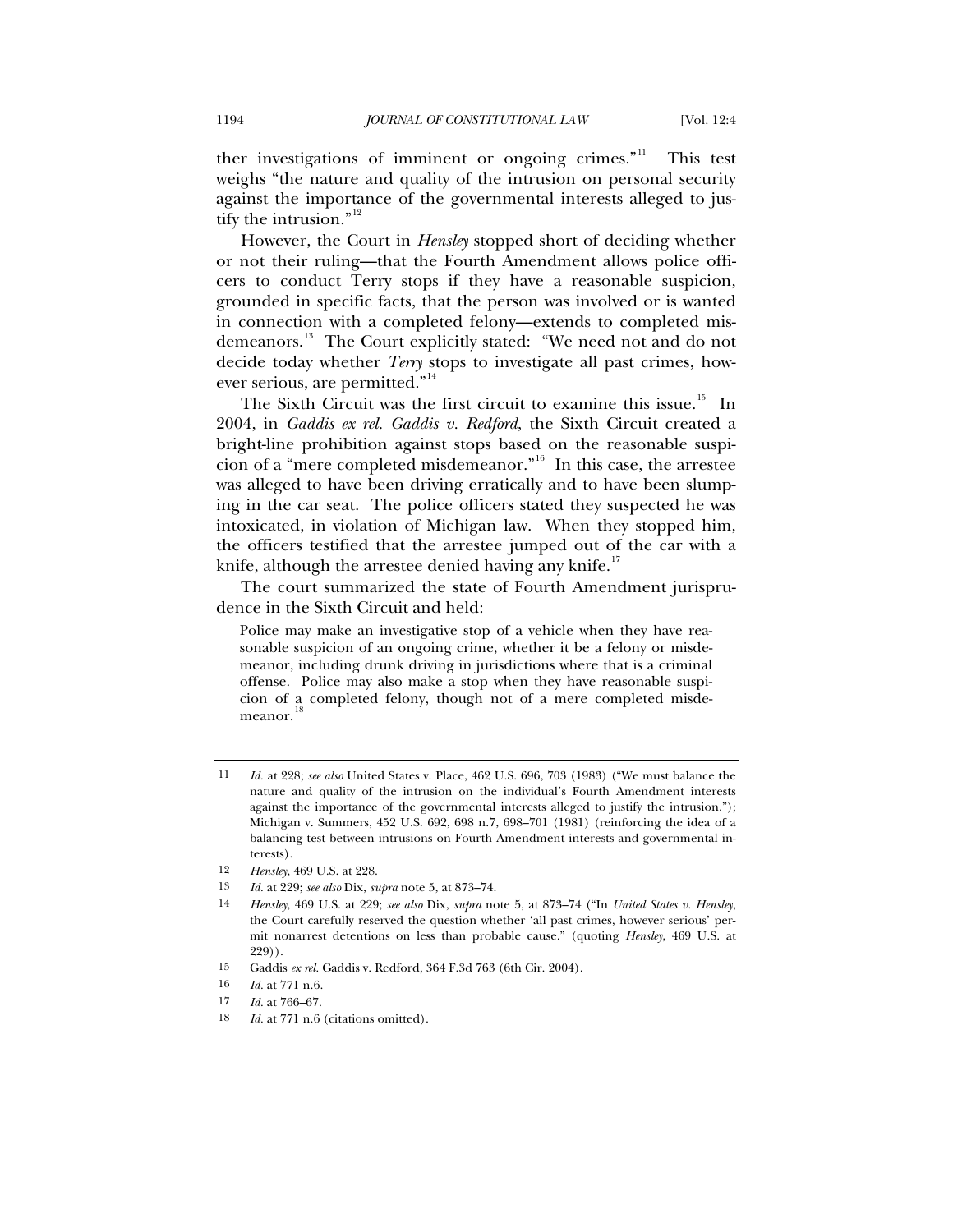ther investigations of imminent or ongoing crimes."<sup>[11](#page-3-0)</sup> This test weighs "the nature and quality of the intrusion on personal security against the importance of the governmental interests alleged to justify the intrusion." $12$ 

However, the Court in *Hensley* stopped short of deciding whether or not their ruling—that the Fourth Amendment allows police officers to conduct Terry stops if they have a reasonable suspicion, grounded in specific facts, that the person was involved or is wanted in connection with a completed felony—extends to completed mis-demeanors.<sup>[13](#page-3-2)</sup> The Court explicitly stated: "We need not and do not decide today whether *Terry* stops to investigate all past crimes, how-ever serious, are permitted."<sup>[14](#page-3-3)</sup>

The Sixth Circuit was the first circuit to examine this issue.<sup>[15](#page-3-4)</sup> In 2004, in *Gaddis ex rel. Gaddis v. Redford*, the Sixth Circuit created a bright-line prohibition against stops based on the reasonable suspicion of a "mere completed misdemeanor."[16](#page-3-5) In this case, the arrestee was alleged to have been driving erratically and to have been slumping in the car seat. The police officers stated they suspected he was intoxicated, in violation of Michigan law. When they stopped him, the officers testified that the arrestee jumped out of the car with a knife, although the arrestee denied having any knife.<sup>[17](#page-3-6)</sup>

The court summarized the state of Fourth Amendment jurisprudence in the Sixth Circuit and held:

Police may make an investigative stop of a vehicle when they have reasonable suspicion of an ongoing crime, whether it be a felony or misdemeanor, including drunk driving in jurisdictions where that is a criminal offense. Police may also make a stop when they have reasonable suspicion of a completed felony, though not of a mere completed misdemeanor.

- <span id="page-3-4"></span>15 Gaddis *ex rel.* Gaddis v. Redford, 364 F.3d 763 (6th Cir. 2004).
- 16 *Id.* at 771 n.6.
- <span id="page-3-5"></span>17 *Id.* at 766–67.

<span id="page-3-0"></span><sup>11</sup> *Id.* at 228; *see also* United States v. Place, 462 U.S. 696, 703 (1983) ("We must balance the nature and quality of the intrusion on the individual's Fourth Amendment interests against the importance of the governmental interests alleged to justify the intrusion."); Michigan v. Summers, 452 U.S. 692, 698 n.7, 698–701 (1981) (reinforcing the idea of a balancing test between intrusions on Fourth Amendment interests and governmental interests).

<span id="page-3-1"></span><sup>12</sup> *Hensley*, 469 U.S. at 228.

<span id="page-3-2"></span><sup>13</sup> *Id.* at 229; *see also* Dix, *supra* note 5, at 873–74.

<span id="page-3-3"></span><sup>14</sup> *Hensley*, 469 U.S. at 229; *see also* Dix, *supra* note 5, at 873–74 ("In *United States v. Hensley*, the Court carefully reserved the question whether 'all past crimes, however serious' permit nonarrest detentions on less than probable cause." (quoting *Hensley*, 469 U.S. at 229)).

<span id="page-3-7"></span><span id="page-3-6"></span><sup>18</sup> *Id.* at 771 n.6 (citations omitted).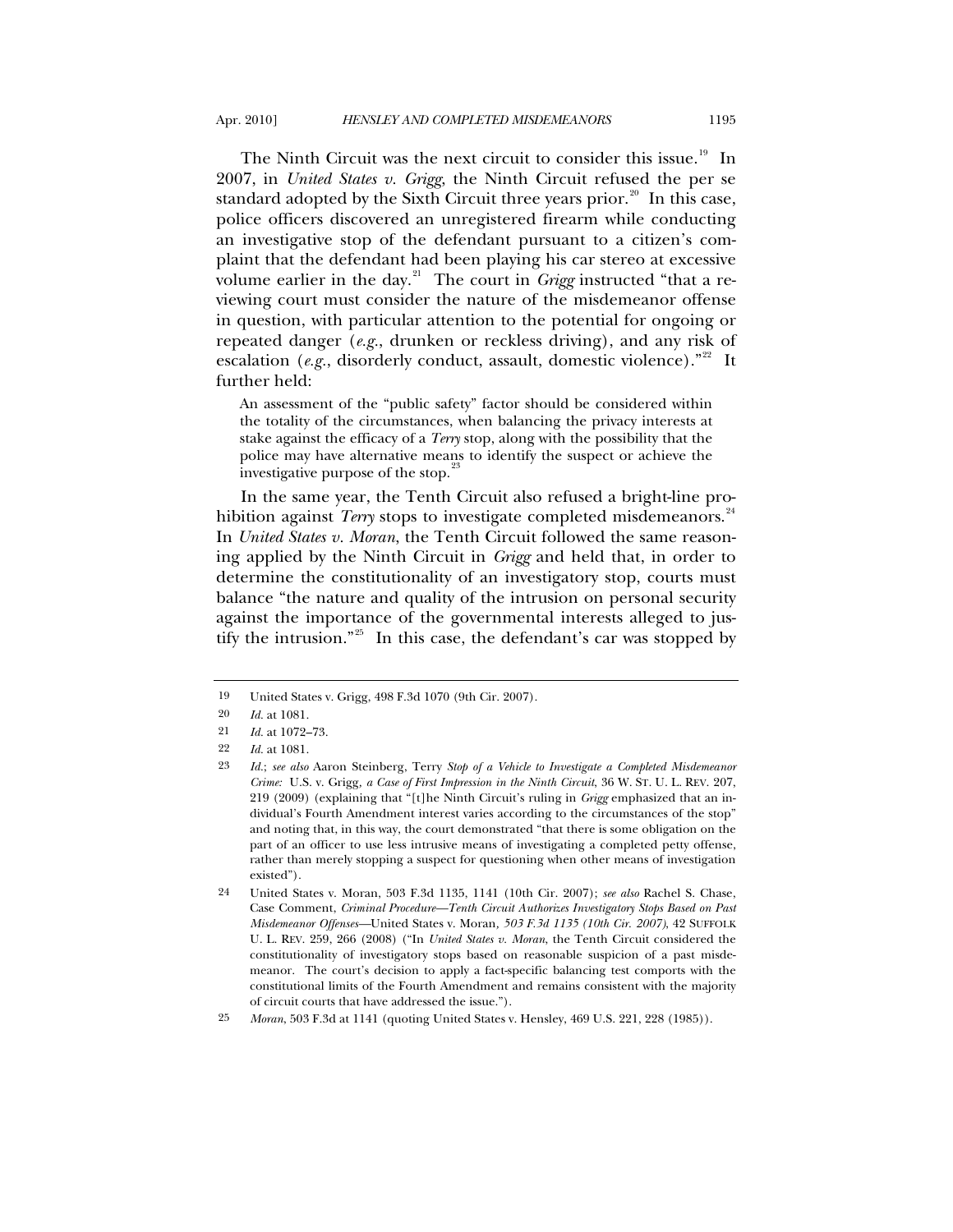The Ninth Circuit was the next circuit to consider this issue.<sup>[19](#page-4-0)</sup> In 2007, in *United States v. Grigg*, the Ninth Circuit refused the per se standard adopted by the Sixth Circuit three years prior. $^{20}$  $^{20}$  $^{20}$  In this case, police officers discovered an unregistered firearm while conducting an investigative stop of the defendant pursuant to a citizen's complaint that the defendant had been playing his car stereo at excessive volume earlier in the day.<sup>[21](#page-4-2)</sup> The court in *Grigg* instructed "that a reviewing court must consider the nature of the misdemeanor offense in question, with particular attention to the potential for ongoing or repeated danger (*e.g.*, drunken or reckless driving), and any risk of escalation (*e.g.*, disorderly conduct, assault, domestic violence).<sup>"[22](#page-4-3)</sup> It further held:

An assessment of the "public safety" factor should be considered within the totality of the circumstances, when balancing the privacy interests at stake against the efficacy of a *Terry* stop, along with the possibility that the police may have alternative means to identify the suspect or achieve the investigative purpose of the stop.<sup>2</sup>

In the same year, the Tenth Circuit also refused a bright-line prohibition against *Terry* stops to investigate completed misdemeanors.<sup>[24](#page-4-5)</sup> In *United States v. Moran*, the Tenth Circuit followed the same reasoning applied by the Ninth Circuit in *Grigg* and held that, in order to determine the constitutionality of an investigatory stop, courts must balance "the nature and quality of the intrusion on personal security against the importance of the governmental interests alleged to justify the intrusion."[25](#page-4-6) In this case, the defendant's car was stopped by

<span id="page-4-0"></span><sup>19</sup> United States v. Grigg, 498 F.3d 1070 (9th Cir. 2007).

<span id="page-4-2"></span><span id="page-4-1"></span><sup>20</sup> *Id.* at 1081.

<sup>21</sup> *Id.* at 1072–73.

<span id="page-4-3"></span><sup>22</sup> *Id.* at 1081.

<span id="page-4-4"></span><sup>23</sup> *Id.*; *see also* Aaron Steinberg, Terry *Stop of a Vehicle to Investigate a Completed Misdemeanor Crime:* U.S. v. Grigg*, a Case of First Impression in the Ninth Circuit*, 36 W. ST. U. L. REV. 207, 219 (2009) (explaining that "[t]he Ninth Circuit's ruling in *Grigg* emphasized that an individual's Fourth Amendment interest varies according to the circumstances of the stop" and noting that, in this way, the court demonstrated "that there is some obligation on the part of an officer to use less intrusive means of investigating a completed petty offense, rather than merely stopping a suspect for questioning when other means of investigation existed").

<span id="page-4-5"></span><sup>24</sup> United States v. Moran, 503 F.3d 1135, 1141 (10th Cir. 2007); *see also* Rachel S. Chase, Case Comment, *Criminal Procedure—Tenth Circuit Authorizes Investigatory Stops Based on Past Misdemeanor Offenses—*United States v. Moran*, 503 F.3d 1135 (10th Cir. 2007)*, 42 SUFFOLK U. L. REV. 259, 266 (2008) ("In *United States v. Moran*, the Tenth Circuit considered the constitutionality of investigatory stops based on reasonable suspicion of a past misdemeanor. The court's decision to apply a fact-specific balancing test comports with the constitutional limits of the Fourth Amendment and remains consistent with the majority of circuit courts that have addressed the issue.").

<span id="page-4-6"></span><sup>25</sup> *Moran*, 503 F.3d at 1141 (quoting United States v. Hensley, 469 U.S. 221, 228 (1985)).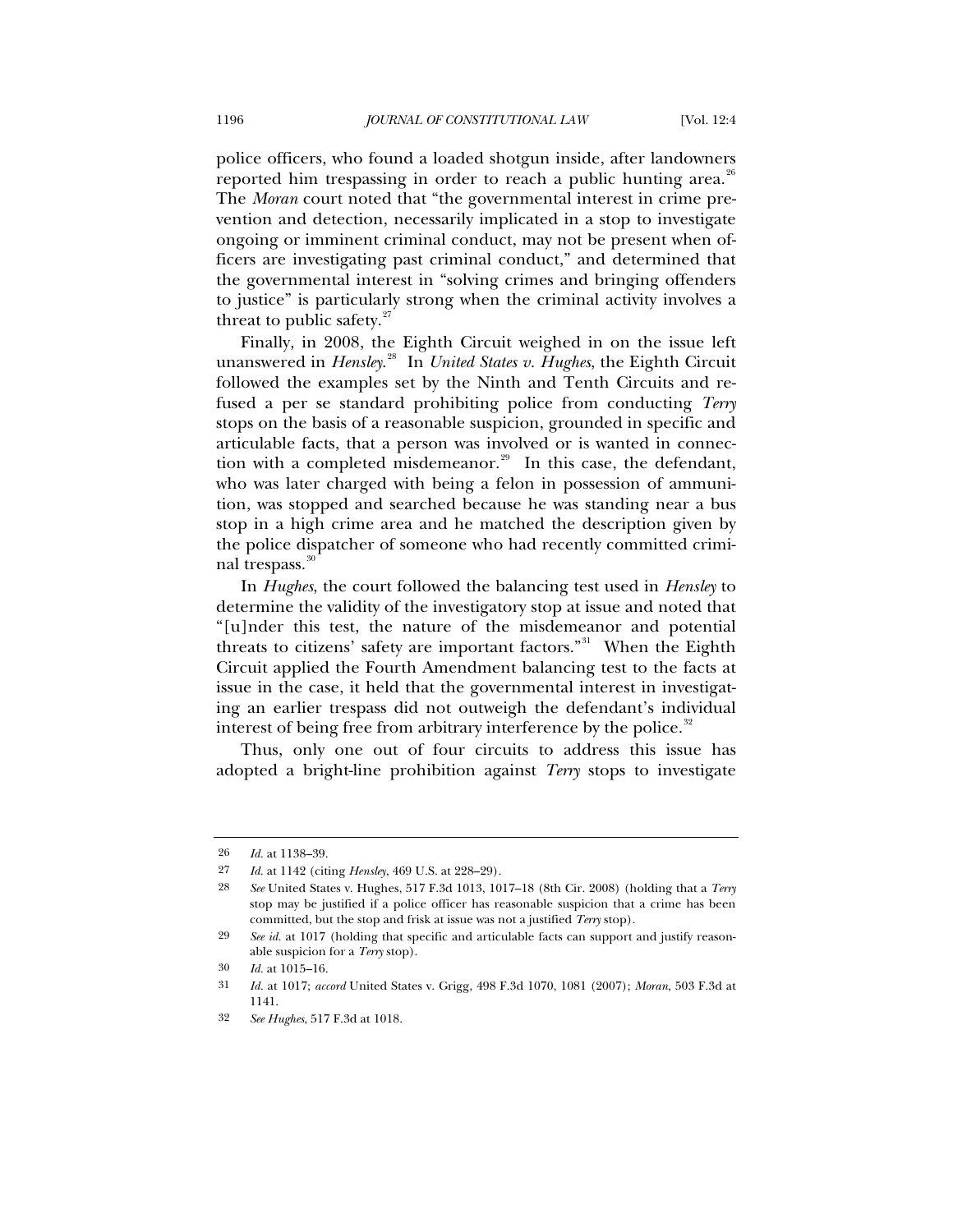police officers, who found a loaded shotgun inside, after landowners reported him trespassing in order to reach a public hunting area. $^{26}$  $^{26}$  $^{26}$ The *Moran* court noted that "the governmental interest in crime prevention and detection, necessarily implicated in a stop to investigate ongoing or imminent criminal conduct, may not be present when officers are investigating past criminal conduct," and determined that the governmental interest in "solving crimes and bringing offenders to justice" is particularly strong when the criminal activity involves a threat to public safety. $27$ 

Finally, in 2008, the Eighth Circuit weighed in on the issue left unanswered in *Hensley*. [28](#page-5-2) In *United States v. Hughes*, the Eighth Circuit followed the examples set by the Ninth and Tenth Circuits and refused a per se standard prohibiting police from conducting *Terry* stops on the basis of a reasonable suspicion, grounded in specific and articulable facts, that a person was involved or is wanted in connection with a completed misdemeanor. $2^9$  In this case, the defendant, who was later charged with being a felon in possession of ammunition, was stopped and searched because he was standing near a bus stop in a high crime area and he matched the description given by the police dispatcher of someone who had recently committed crimi-nal trespass.<sup>[30](#page-5-4)</sup>

In *Hughes*, the court followed the balancing test used in *Hensley* to determine the validity of the investigatory stop at issue and noted that "[u]nder this test, the nature of the misdemeanor and potential threats to citizens' safety are important factors."<sup>[31](#page-5-5)</sup> When the Eighth Circuit applied the Fourth Amendment balancing test to the facts at issue in the case, it held that the governmental interest in investigating an earlier trespass did not outweigh the defendant's individual interest of being free from arbitrary interference by the police.<sup>[32](#page-5-6)</sup>

Thus, only one out of four circuits to address this issue has adopted a bright-line prohibition against *Terry* stops to investigate

<span id="page-5-0"></span><sup>26</sup> *Id.* at 1138–39.

<span id="page-5-1"></span><sup>27</sup> *Id.* at 1142 (citing *Hensley*, 469 U.S. at 228–29).

<span id="page-5-2"></span><sup>28</sup> *See* United States v. Hughes, 517 F.3d 1013, 1017–18 (8th Cir. 2008) (holding that a *Terry* stop may be justified if a police officer has reasonable suspicion that a crime has been committed, but the stop and frisk at issue was not a justified *Terry* stop).

<span id="page-5-3"></span><sup>29</sup> *See id.* at 1017 (holding that specific and articulable facts can support and justify reasonable suspicion for a *Terry* stop).

<span id="page-5-5"></span><span id="page-5-4"></span><sup>30</sup> *Id.* at 1015–16.

<sup>31</sup> *Id.* at 1017; *accord* United States v. Grigg, 498 F.3d 1070, 1081 (2007); *Moran*, 503 F.3d at 1141.

<span id="page-5-6"></span><sup>32</sup> *See Hughes*, 517 F.3d at 1018.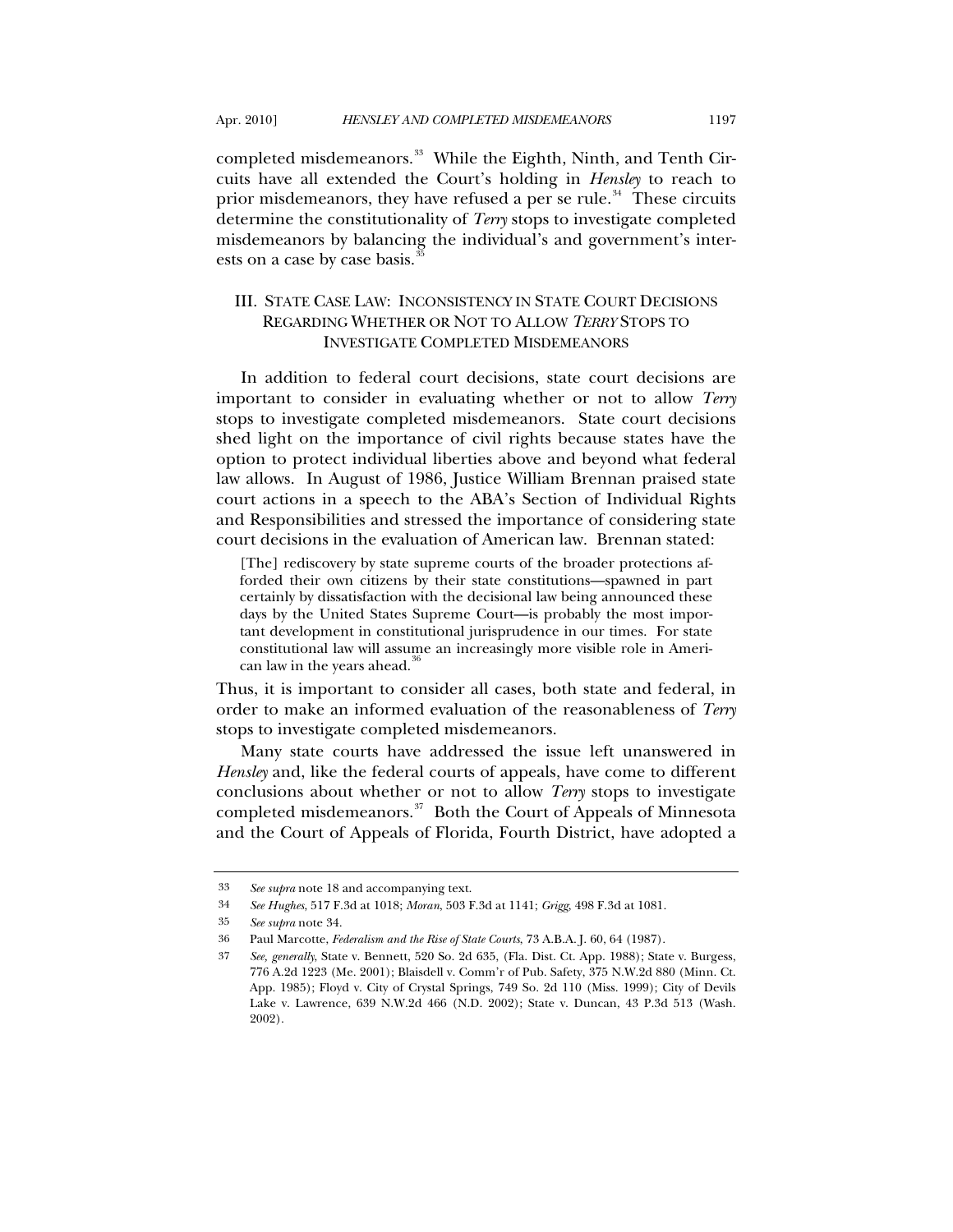completed misdemeanors.<sup>[33](#page-6-0)</sup> While the Eighth, Ninth, and Tenth Circuits have all extended the Court's holding in *Hensley* to reach to prior misdemeanors, they have refused a per se rule.<sup>[34](#page-6-1)</sup> These circuits determine the constitutionality of *Terry* stops to investigate completed misdemeanors by balancing the individual's and government's interests on a case by case basis.<sup>3</sup>

# III. STATE CASE LAW: INCONSISTENCY IN STATE COURT DECISIONS REGARDING WHETHER OR NOT TO ALLOW *TERRY* STOPS TO INVESTIGATE COMPLETED MISDEMEANORS

In addition to federal court decisions, state court decisions are important to consider in evaluating whether or not to allow *Terry* stops to investigate completed misdemeanors. State court decisions shed light on the importance of civil rights because states have the option to protect individual liberties above and beyond what federal law allows. In August of 1986, Justice William Brennan praised state court actions in a speech to the ABA's Section of Individual Rights and Responsibilities and stressed the importance of considering state court decisions in the evaluation of American law. Brennan stated:

[The] rediscovery by state supreme courts of the broader protections afforded their own citizens by their state constitutions—spawned in part certainly by dissatisfaction with the decisional law being announced these days by the United States Supreme Court—is probably the most important development in constitutional jurisprudence in our times. For state constitutional law will assume an increasingly more visible role in American law in the years ahead.<sup>3</sup>

Thus, it is important to consider all cases, both state and federal, in order to make an informed evaluation of the reasonableness of *Terry* stops to investigate completed misdemeanors.

Many state courts have addressed the issue left unanswered in *Hensley* and, like the federal courts of appeals, have come to different conclusions about whether or not to allow *Terry* stops to investigate completed misdemeanors.<sup>[37](#page-6-4)</sup> Both the Court of Appeals of Minnesota and the Court of Appeals of Florida, Fourth District, have adopted a

<span id="page-6-1"></span><span id="page-6-0"></span><sup>33</sup> *See supra* note 18 and accompanying text.

<sup>34</sup> *See Hughes*, 517 F.3d at 1018; *Moran*, 503 F.3d at 1141; *Grigg*, 498 F.3d at 1081.

<sup>35</sup> *See supra* note 34.

<span id="page-6-4"></span><span id="page-6-3"></span><span id="page-6-2"></span><sup>36</sup> Paul Marcotte, *Federalism and the Rise of State Courts*, 73 A.B.A. J. 60, 64 (1987).

<sup>37</sup> *See, generally*, State v. Bennett, 520 So. 2d 635, (Fla. Dist. Ct. App. 1988); State v. Burgess, 776 A.2d 1223 (Me. 2001); Blaisdell v. Comm'r of Pub. Safety, 375 N.W.2d 880 (Minn. Ct. App. 1985); Floyd v. City of Crystal Springs, 749 So. 2d 110 (Miss. 1999); City of Devils Lake v. Lawrence, 639 N.W.2d 466 (N.D. 2002); State v. Duncan, 43 P.3d 513 (Wash. 2002).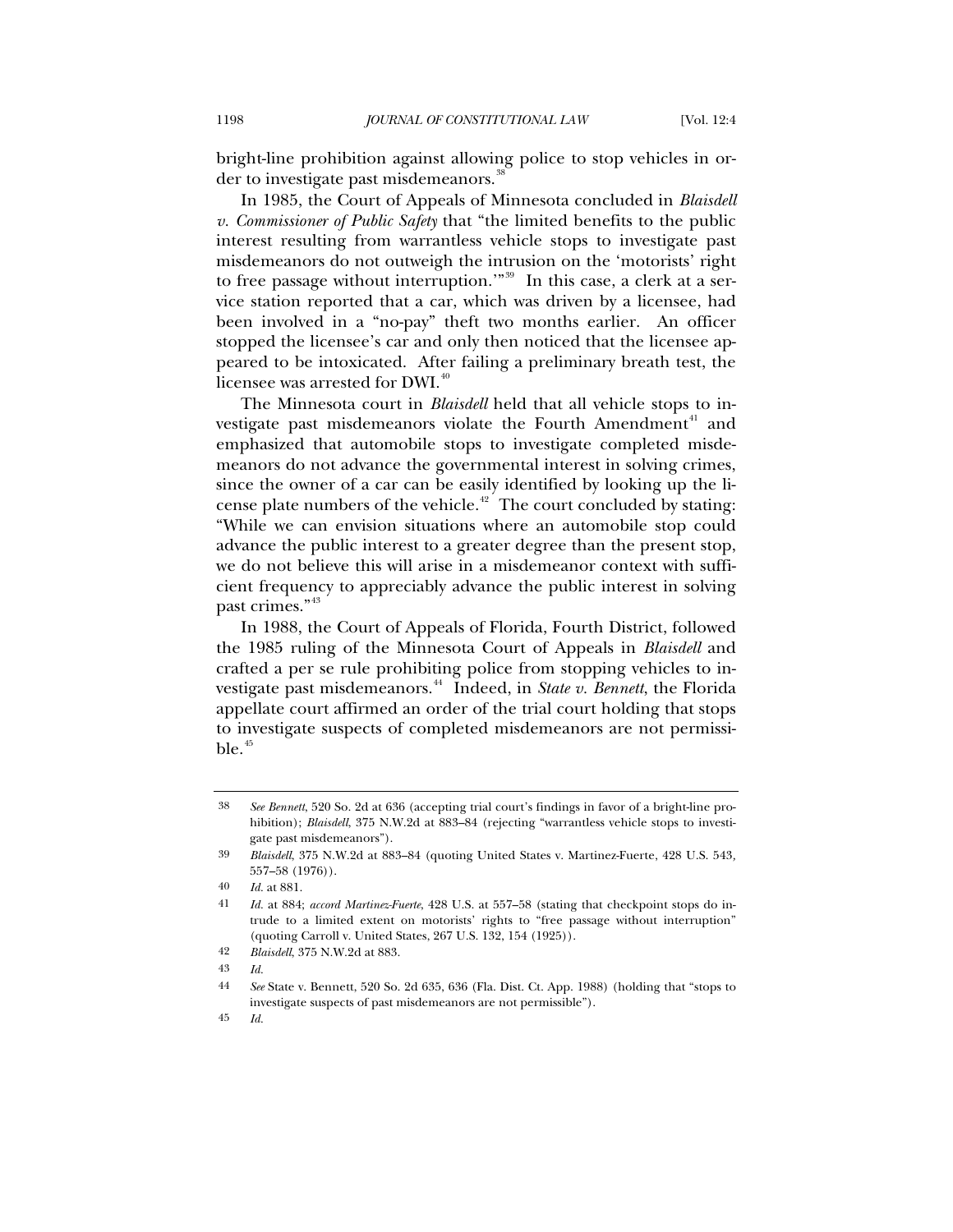bright-line prohibition against allowing police to stop vehicles in order to investigate past misdemeanors.<sup>3</sup>

In 1985, the Court of Appeals of Minnesota concluded in *Blaisdell v. Commissioner of Public Safety* that "the limited benefits to the public interest resulting from warrantless vehicle stops to investigate past misdemeanors do not outweigh the intrusion on the 'motorists' right to free passage without interruption."<sup>[39](#page-7-1)</sup> In this case, a clerk at a service station reported that a car, which was driven by a licensee, had been involved in a "no-pay" theft two months earlier. An officer stopped the licensee's car and only then noticed that the licensee appeared to be intoxicated. After failing a preliminary breath test, the licensee was arrested for DWI.<sup>[40](#page-7-2)</sup>

The Minnesota court in *Blaisdell* held that all vehicle stops to in-vestigate past misdemeanors violate the Fourth Amendment<sup>[41](#page-7-3)</sup> and emphasized that automobile stops to investigate completed misdemeanors do not advance the governmental interest in solving crimes, since the owner of a car can be easily identified by looking up the li-cense plate numbers of the vehicle.<sup>[42](#page-7-4)</sup> The court concluded by stating: "While we can envision situations where an automobile stop could advance the public interest to a greater degree than the present stop, we do not believe this will arise in a misdemeanor context with sufficient frequency to appreciably advance the public interest in solving past crimes."<sup>[43](#page-7-5)</sup>

In 1988, the Court of Appeals of Florida, Fourth District, followed the 1985 ruling of the Minnesota Court of Appeals in *Blaisdell* and crafted a per se rule prohibiting police from stopping vehicles to in-vestigate past misdemeanors.<sup>[44](#page-7-6)</sup> Indeed, in *State v. Bennett*, the Florida appellate court affirmed an order of the trial court holding that stops to investigate suspects of completed misdemeanors are not permissi $ble.$ <sup>[45](#page-7-7)</sup>

<span id="page-7-0"></span><sup>38</sup> *See Bennett*, 520 So. 2d at 636 (accepting trial court's findings in favor of a bright-line prohibition); *Blaisdell*, 375 N.W.2d at 883–84 (rejecting "warrantless vehicle stops to investigate past misdemeanors").

<span id="page-7-1"></span><sup>39</sup> *Blaisdell*, 375 N.W.2d at 883–84 (quoting United States v. Martinez-Fuerte, 428 U.S. 543*,*  557–58 (1976)).

<span id="page-7-2"></span><sup>40</sup> *Id.* at 881.

<span id="page-7-3"></span><sup>41</sup> *Id.* at 884; *accord Martinez-Fuerte*, 428 U.S. at 557–58 (stating that checkpoint stops do intrude to a limited extent on motorists' rights to "free passage without interruption" (quoting Carroll v. United States, 267 U.S. 132, 154 (1925)).

<span id="page-7-4"></span><sup>42</sup> *Blaisdell*, 375 N.W.2d at 883.

<span id="page-7-5"></span><sup>43</sup> *Id.*

<span id="page-7-6"></span><sup>44</sup> *See* State v. Bennett, 520 So. 2d 635, 636 (Fla. Dist. Ct. App. 1988) (holding that "stops to investigate suspects of past misdemeanors are not permissible").

<span id="page-7-7"></span><sup>45</sup> *Id.*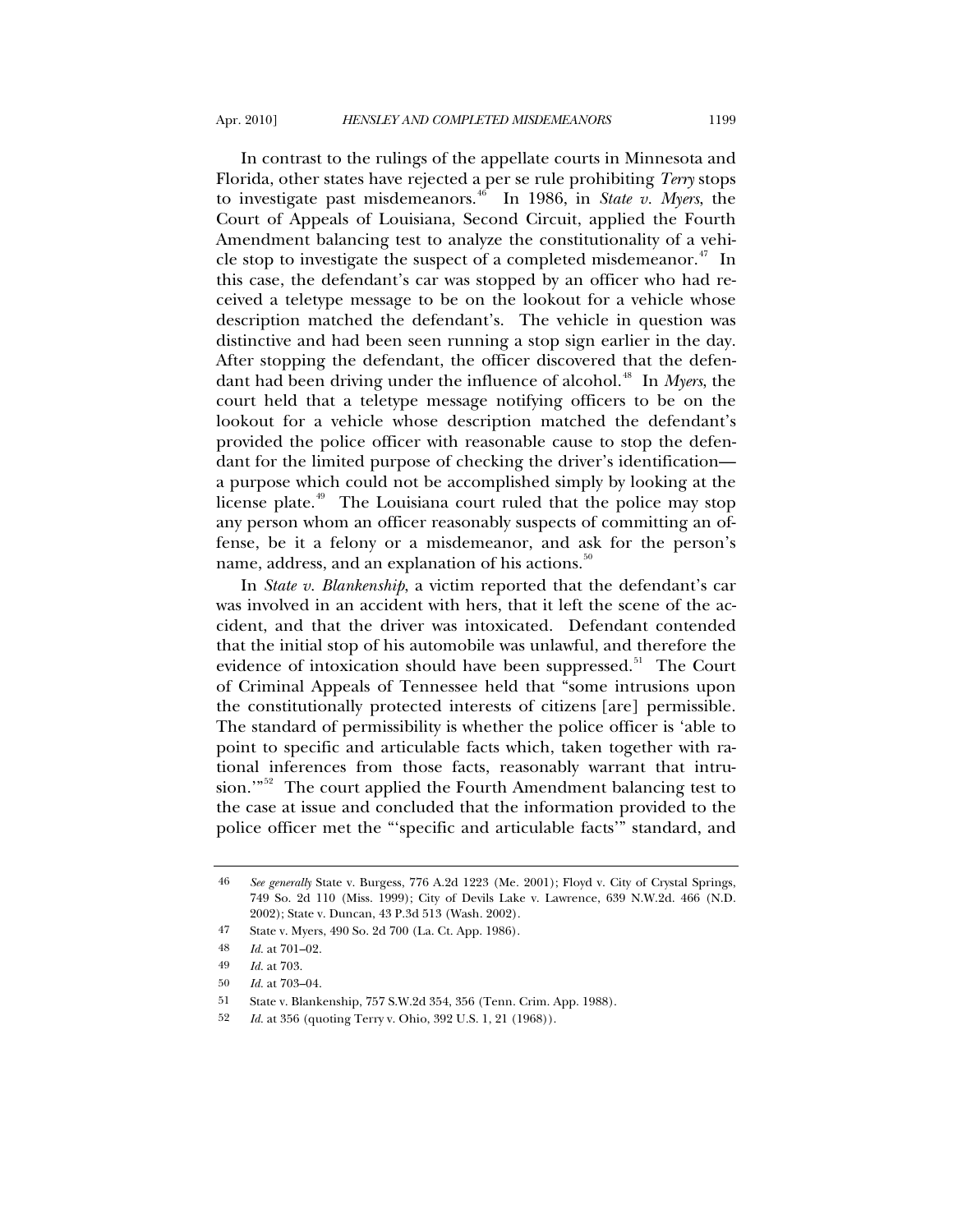In contrast to the rulings of the appellate courts in Minnesota and Florida, other states have rejected a per se rule prohibiting *Terry* stops to investigate past misdemeanors.<sup>[46](#page-8-0)</sup> In 1986, in *State v. Myers*, the Court of Appeals of Louisiana, Second Circuit, applied the Fourth Amendment balancing test to analyze the constitutionality of a vehi-cle stop to investigate the suspect of a completed misdemeanor.<sup>[47](#page-8-1)</sup> In this case, the defendant's car was stopped by an officer who had received a teletype message to be on the lookout for a vehicle whose description matched the defendant's. The vehicle in question was distinctive and had been seen running a stop sign earlier in the day. After stopping the defendant, the officer discovered that the defen-dant had been driving under the influence of alcohol.<sup>[48](#page-8-2)</sup> In *Myers*, the court held that a teletype message notifying officers to be on the lookout for a vehicle whose description matched the defendant's provided the police officer with reasonable cause to stop the defendant for the limited purpose of checking the driver's identification a purpose which could not be accomplished simply by looking at the license plate.<sup>[49](#page-8-3)</sup> The Louisiana court ruled that the police may stop any person whom an officer reasonably suspects of committing an offense, be it a felony or a misdemeanor, and ask for the person's name, address, and an explanation of his actions.<sup>[50](#page-8-4)</sup>

In *State v. Blankenship*, a victim reported that the defendant's car was involved in an accident with hers, that it left the scene of the accident, and that the driver was intoxicated. Defendant contended that the initial stop of his automobile was unlawful, and therefore the evidence of intoxication should have been suppressed.<sup>[51](#page-8-5)</sup> The Court of Criminal Appeals of Tennessee held that "some intrusions upon the constitutionally protected interests of citizens [are] permissible. The standard of permissibility is whether the police officer is 'able to point to specific and articulable facts which, taken together with rational inferences from those facts, reasonably warrant that intru-sion."<sup>[52](#page-8-6)</sup> The court applied the Fourth Amendment balancing test to the case at issue and concluded that the information provided to the police officer met the "'specific and articulable facts'" standard, and

<span id="page-8-0"></span><sup>46</sup> *See generally* State v. Burgess, 776 A.2d 1223 (Me. 2001); Floyd v. City of Crystal Springs, 749 So. 2d 110 (Miss. 1999); City of Devils Lake v. Lawrence, 639 N.W.2d. 466 (N.D. 2002); State v. Duncan, 43 P.3d 513 (Wash. 2002).

<span id="page-8-1"></span><sup>47</sup> State v. Myers, 490 So. 2d 700 (La. Ct. App. 1986).

<span id="page-8-2"></span><sup>48</sup> *Id.* at 701–02.

<span id="page-8-3"></span><sup>49</sup> *Id.* at 703.

<span id="page-8-4"></span><sup>50</sup> *Id.* at 703–04.

<span id="page-8-6"></span><span id="page-8-5"></span><sup>51</sup> State v. Blankenship, 757 S.W.2d 354, 356 (Tenn. Crim. App. 1988).

<sup>52</sup> *Id.* at 356 (quoting Terry v. Ohio, 392 U.S. 1, 21 (1968)).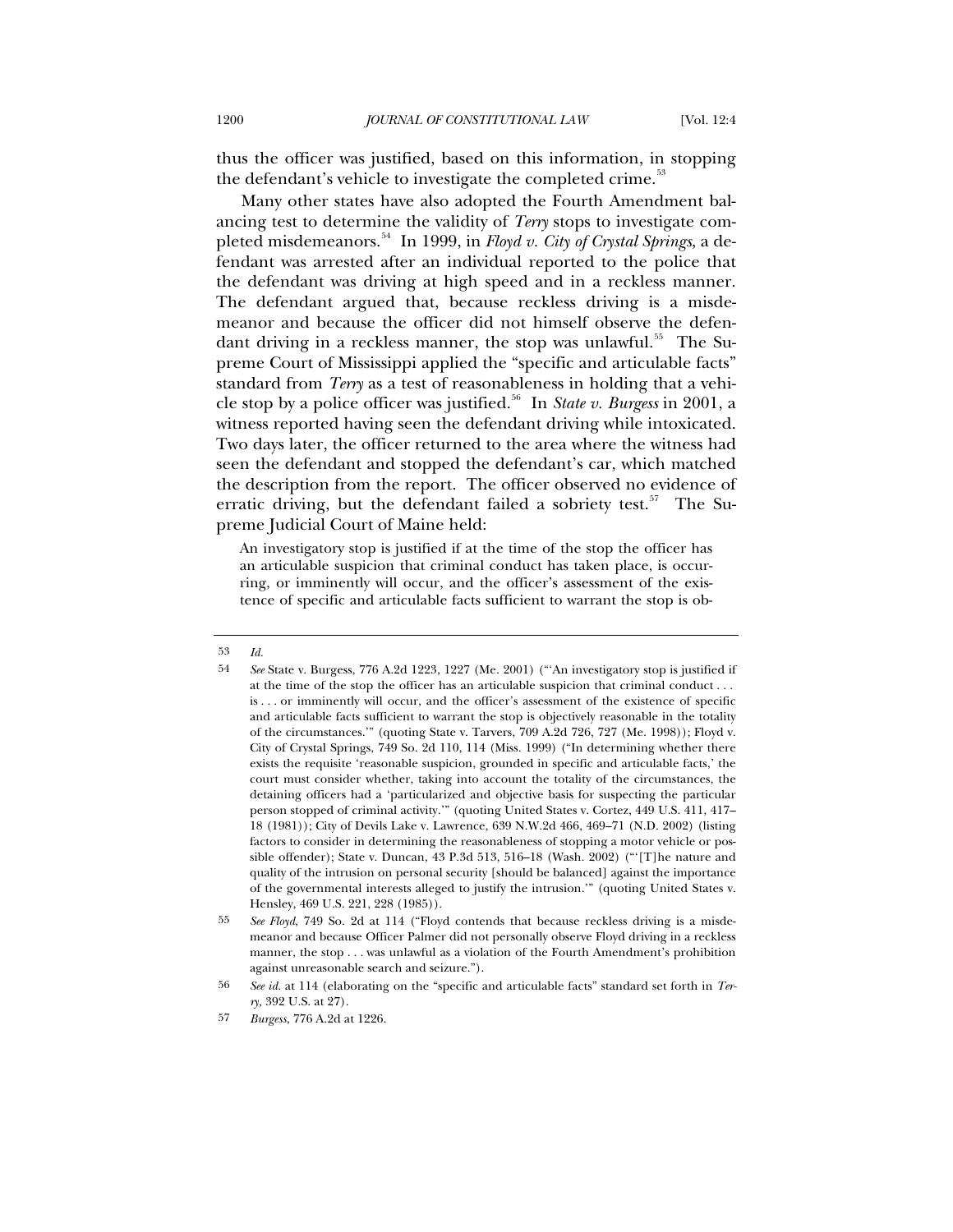thus the officer was justified, based on this information, in stopping the defendant's vehicle to investigate the completed crime.<sup>[53](#page-9-0)</sup>

 Many other states have also adopted the Fourth Amendment balancing test to determine the validity of *Terry* stops to investigate com-pleted misdemeanors.<sup>[54](#page-9-1)</sup> In 1999, in *Floyd v. City of Crystal Springs*, a defendant was arrested after an individual reported to the police that the defendant was driving at high speed and in a reckless manner. The defendant argued that, because reckless driving is a misdemeanor and because the officer did not himself observe the defen-dant driving in a reckless manner, the stop was unlawful.<sup>[55](#page-9-2)</sup> The Supreme Court of Mississippi applied the "specific and articulable facts" standard from *Terry* as a test of reasonableness in holding that a vehi-cle stop by a police officer was justified.<sup>[56](#page-9-3)</sup> In *State v. Burgess* in 2001, a witness reported having seen the defendant driving while intoxicated. Two days later, the officer returned to the area where the witness had seen the defendant and stopped the defendant's car, which matched the description from the report. The officer observed no evidence of erratic driving, but the defendant failed a sobriety test.<sup>[57](#page-9-4)</sup> The Supreme Judicial Court of Maine held:

An investigatory stop is justified if at the time of the stop the officer has an articulable suspicion that criminal conduct has taken place, is occurring, or imminently will occur, and the officer's assessment of the existence of specific and articulable facts sufficient to warrant the stop is ob-

<span id="page-9-0"></span><sup>53</sup> *Id.*

<span id="page-9-1"></span><sup>54</sup> *See* State v. Burgess, 776 A.2d 1223, 1227 (Me. 2001) ("'An investigatory stop is justified if at the time of the stop the officer has an articulable suspicion that criminal conduct . . . is . . . or imminently will occur, and the officer's assessment of the existence of specific and articulable facts sufficient to warrant the stop is objectively reasonable in the totality of the circumstances.'" (quoting State v. Tarvers, 709 A.2d 726, 727 (Me. 1998)); Floyd v. City of Crystal Springs, 749 So. 2d 110, 114 (Miss. 1999) ("In determining whether there exists the requisite 'reasonable suspicion, grounded in specific and articulable facts,' the court must consider whether, taking into account the totality of the circumstances, the detaining officers had a 'particularized and objective basis for suspecting the particular person stopped of criminal activity.'" (quoting United States v. Cortez, 449 U.S. 411, 417– 18 (1981)); City of Devils Lake v. Lawrence, 639 N.W.2d 466, 469–71 (N.D. 2002) (listing factors to consider in determining the reasonableness of stopping a motor vehicle or possible offender); State v. [Duncan, 43 P.3d 513](http://www.lexis.com/research/xlink?app=00075&view=full&searchtype=get&search=146+Wn.2d+166), 516–18 (Wash. 2002) ("'[T]he nature and quality of the intrusion on personal security [should be balanced] against the importance of the governmental interests alleged to justify the intrusion.'" (quoting United States v. Hensley, 469 U.S. 221, 228 (1985)).

<span id="page-9-2"></span><sup>55</sup> *See Floyd*, 749 So. 2d at 114 ("Floyd contends that because reckless driving is a misdemeanor and because Officer Palmer did not personally observe Floyd driving in a reckless manner, the stop . . . was unlawful as a violation of the Fourth Amendment's prohibition against unreasonable search and seizure.").

<span id="page-9-3"></span><sup>56</sup> *See id.* at 114 (elaborating on the "specific and articulable facts" standard set forth in *Terry,* 392 U.S. at 27).

<span id="page-9-4"></span><sup>57</sup> *Burgess*, 776 A.2d at 1226.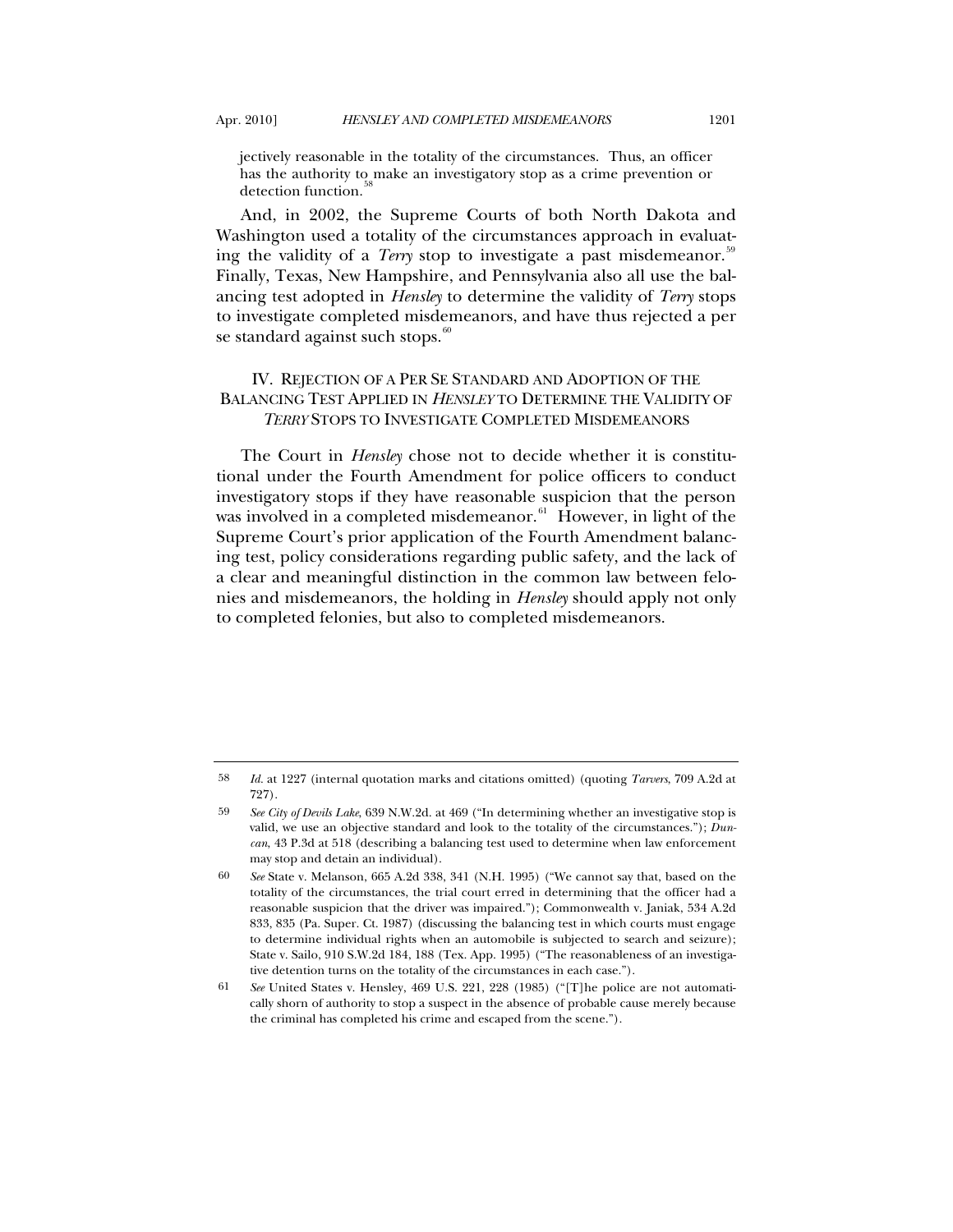jectively reasonable in the totality of the circumstances. Thus, an officer has the authority to make an investigatory stop as a crime prevention or detection function.<sup>5</sup>

And, in 2002, the Supreme Courts of both North Dakota and Washington used a totality of the circumstances approach in evaluating the validity of a *Terry* stop to investigate a past misdemeanor.<sup>[59](#page-10-1)</sup> Finally, Texas, New Hampshire, and Pennsylvania also all use the balancing test adopted in *Hensley* to determine the validity of *Terry* stops to investigate completed misdemeanors, and have thus rejected a per se standard against such stops.<sup>[60](#page-10-2)</sup>

# IV. REJECTION OF A PER SE STANDARD AND ADOPTION OF THE BALANCING TEST APPLIED IN *HENSLEY* TO DETERMINE THE VALIDITY OF *TERRY* STOPS TO INVESTIGATE COMPLETED MISDEMEANORS

The Court in *Hensley* chose not to decide whether it is constitutional under the Fourth Amendment for police officers to conduct investigatory stops if they have reasonable suspicion that the person was involved in a completed misdemeanor.<sup>[61](#page-10-3)</sup> However, in light of the Supreme Court's prior application of the Fourth Amendment balancing test, policy considerations regarding public safety, and the lack of a clear and meaningful distinction in the common law between felonies and misdemeanors, the holding in *Hensley* should apply not only to completed felonies, but also to completed misdemeanors.

<span id="page-10-0"></span><sup>58</sup> *Id.* at 1227 (internal quotation marks and citations omitted) (quoting *Tarvers*, 709 A.2d at 727).

<span id="page-10-1"></span><sup>59</sup> *See City of Devils Lake*, 639 N.W.2d. at 469 ("In determining whether an investigative stop is valid, we use an objective standard and look to the totality of the circumstances."); *Duncan*, 43 P.3d at 518 (describing a balancing test used to determine when law enforcement may stop and detain an individual).

<span id="page-10-2"></span><sup>60</sup> *See* State v. Melanson, 665 A.2d 338, 341 (N.H. 1995) ("We cannot say that, based on the totality of the circumstances, the trial court erred in determining that the officer had a reasonable suspicion that the driver was impaired."); Commonwealth v. Janiak, 534 A.2d 833, 835 (Pa. Super. Ct. 1987) (discussing the balancing test in which courts must engage to determine individual rights when an automobile is subjected to search and seizure); State v. Sailo, 910 S.W.2d 184, 188 (Tex. App. 1995) ("The reasonableness of an investigative detention turns on the totality of the circumstances in each case.").

<span id="page-10-3"></span><sup>61</sup> *See* United States v. Hensley, 469 U.S. 221, 228 (1985) ("[T]he police are not automatically shorn of authority to stop a suspect in the absence of probable cause merely because the criminal has completed his crime and escaped from the scene.").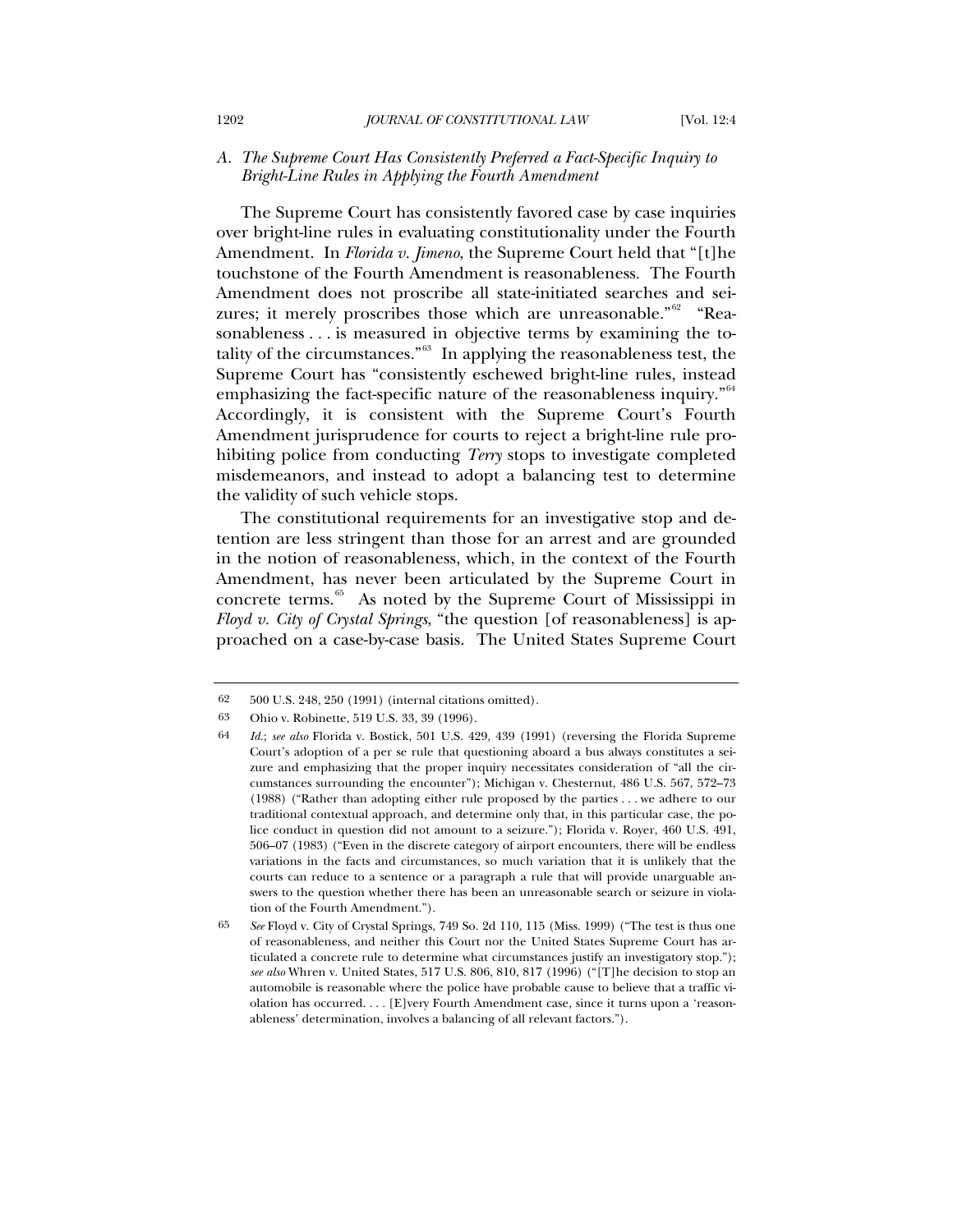### *A. The Supreme Court Has Consistently Preferred a Fact-Specific Inquiry to Bright-Line Rules in Applying the Fourth Amendment*

The Supreme Court has consistently favored case by case inquiries over bright-line rules in evaluating constitutionality under the Fourth Amendment. In *Florida v. Jimeno*, the Supreme Court held that "[t]he touchstone of the Fourth Amendment is reasonableness. The Fourth Amendment does not proscribe all state-initiated searches and sei-zures; it merely proscribes those which are unreasonable."<sup>[62](#page-11-0)</sup> "Reasonableness . . . is measured in objective terms by examining the to-tality of the circumstances."<sup>[63](#page-11-1)</sup> In applying the reasonableness test, the Supreme Court has "consistently eschewed bright-line rules, instead emphasizing the fact-specific nature of the reasonableness inquiry."<sup>[64](#page-11-2)</sup> Accordingly, it is consistent with the Supreme Court's Fourth Amendment jurisprudence for courts to reject a bright-line rule prohibiting police from conducting *Terry* stops to investigate completed misdemeanors, and instead to adopt a balancing test to determine the validity of such vehicle stops.

The constitutional requirements for an investigative stop and detention are less stringent than those for an arrest and are grounded in the notion of reasonableness, which, in the context of the Fourth Amendment, has never been articulated by the Supreme Court in concrete terms. $65$  As noted by the Supreme Court of Mississippi in *Floyd v. City of Crystal Springs*, "the question [of reasonableness] is approached on a case-by-case basis. The United States Supreme Court

<span id="page-11-0"></span><sup>62 500</sup> U.S. 248, 250 (1991) (internal citations omitted).

<span id="page-11-2"></span><span id="page-11-1"></span><sup>63</sup> Ohio v. Robinette, 519 U.S. 33, 39 (1996).

<sup>64</sup> *Id.*; *see also* Florida v. Bostick, 501 U.S. 429, 439 (1991) (reversing the Florida Supreme Court's adoption of a per se rule that questioning aboard a bus always constitutes a seizure and emphasizing that the proper inquiry necessitates consideration of "all the circumstances surrounding the encounter"); Michigan v. Chesternut, 486 U.S. 567, 572–73 (1988) ("Rather than adopting either rule proposed by the parties . . . we adhere to our traditional contextual approach, and determine only that, in this particular case, the police conduct in question did not amount to a seizure."); Florida v. Royer, 460 U.S. 491, 506–07 (1983) ("Even in the discrete category of airport encounters, there will be endless variations in the facts and circumstances, so much variation that it is unlikely that the courts can reduce to a sentence or a paragraph a rule that will provide unarguable answers to the question whether there has been an unreasonable search or seizure in violation of the Fourth Amendment.").

<span id="page-11-3"></span><sup>65</sup> *See* Floyd v. City of Crystal Springs, 749 So. 2d 110, 115 (Miss. 1999) ("The test is thus one of reasonableness, and neither this Court nor the United States Supreme Court has articulated a concrete rule to determine what circumstances justify an investigatory stop."); *see also* Whren v. United States, 517 U.S. 806, 810, 817 (1996) ("[T]he decision to stop an automobile is reasonable where the police have probable cause to believe that a traffic violation has occurred. . . . [E]very Fourth Amendment case, since it turns upon a 'reasonableness' determination, involves a balancing of all relevant factors.").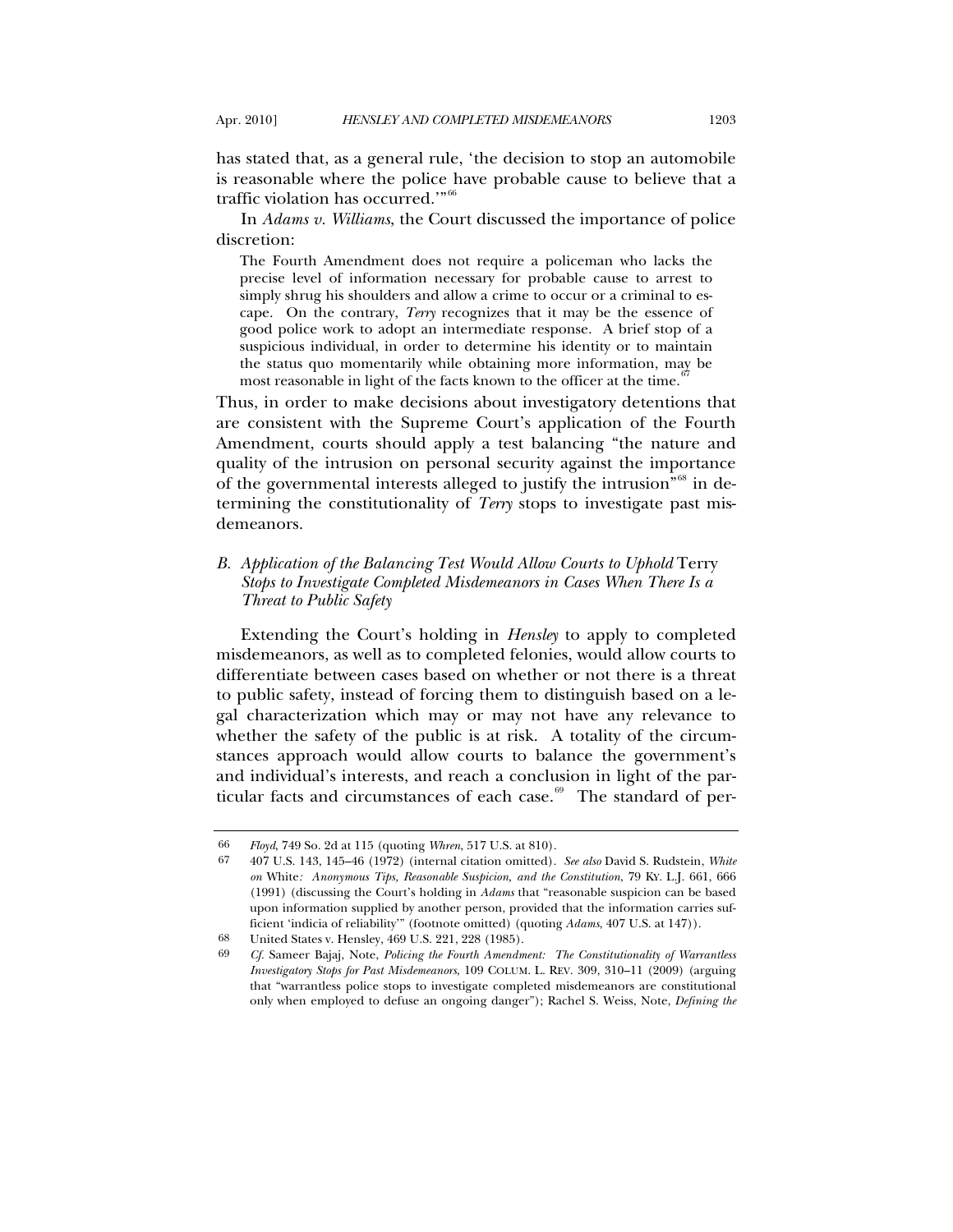has stated that, as a general rule, 'the decision to stop an automobile is reasonable where the police have probable cause to believe that a traffic violation has occurred.'"[66](#page-12-0)

In *Adams v. Williams*, the Court discussed the importance of police discretion:

The Fourth Amendment does not require a policeman who lacks the precise level of information necessary for probable cause to arrest to simply shrug his shoulders and allow a crime to occur or a criminal to escape. On the contrary, *Terry* recognizes that it may be the essence of good police work to adopt an intermediate response. A brief stop of a suspicious individual, in order to determine his identity or to maintain the status quo momentarily while obtaining more information, may be most reasonable in light of the facts known to the officer at the time.<sup>6</sup>

Thus, in order to make decisions about investigatory detentions that are consistent with the Supreme Court's application of the Fourth Amendment, courts should apply a test balancing "the nature and quality of the intrusion on personal security against the importance of the governmental interests alleged to justify the intrusion<sup>"[68](#page-12-2)</sup> in determining the constitutionality of *Terry* stops to investigate past misdemeanors.

# *B. Application of the Balancing Test Would Allow Courts to Uphold* Terry *Stops to Investigate Completed Misdemeanors in Cases When There Is a Threat to Public Safety*

Extending the Court's holding in *Hensley* to apply to completed misdemeanors, as well as to completed felonies, would allow courts to differentiate between cases based on whether or not there is a threat to public safety, instead of forcing them to distinguish based on a legal characterization which may or may not have any relevance to whether the safety of the public is at risk. A totality of the circumstances approach would allow courts to balance the government's and individual's interests, and reach a conclusion in light of the par-ticular facts and circumstances of each case.<sup>[69](#page-12-3)</sup> The standard of per-

<sup>66</sup> *Floyd*, 749 So. 2d at 115 (quoting *Whren*, 517 U.S. at 810).

<span id="page-12-1"></span><span id="page-12-0"></span><sup>67 407</sup> U.S. 143, 145–46 (1972) (internal citation omitted). *See also* David S. Rudstein, *White on* White*: Anonymous Tips, Reasonable Suspicion, and the Constitution*, 79 KY. L.J. 661, 666 (1991) (discussing the Court's holding in *Adams* that "reasonable suspicion can be based upon information supplied by another person, provided that the information carries sufficient 'indicia of reliability'" (footnote omitted) (quoting *Adams*, 407 U.S. at 147)).

<span id="page-12-3"></span><span id="page-12-2"></span><sup>68</sup> United States v. Hensley, 469 U.S. 221, 228 (1985).<br>69 Cf. Sameer Baiai, Note, Policing the Fourth Amendm

<sup>69</sup> *Cf.* Sameer Bajaj, Note, *Policing the Fourth Amendment: The Constitutionality of Warrantless Investigatory Stops for Past Misdemeanors*, 109 COLUM. L. REV. 309, 310–11 (2009) (arguing that "warrantless police stops to investigate completed misdemeanors are constitutional only when employed to defuse an ongoing danger"); Rachel S. Weiss, Note, *Defining the*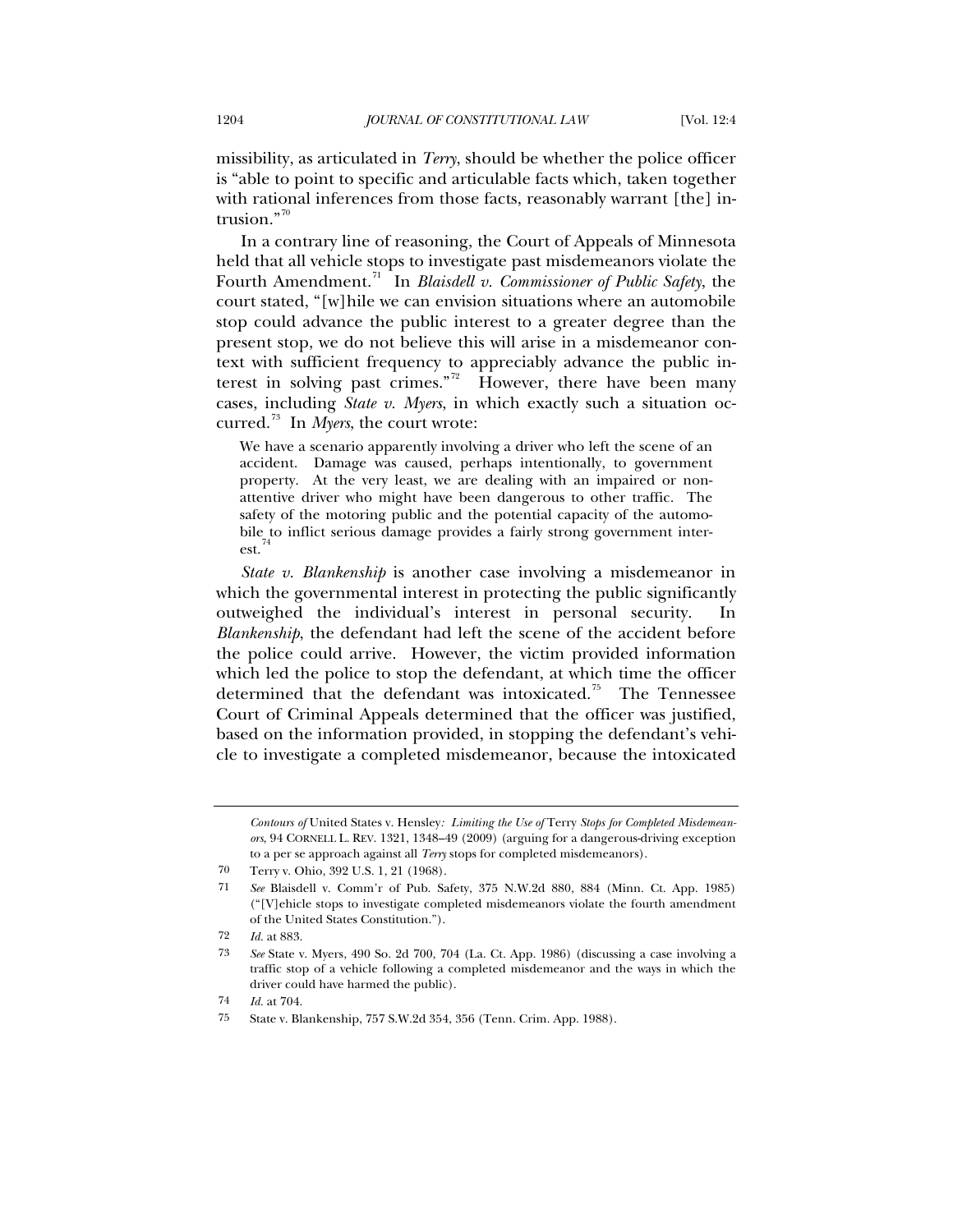missibility, as articulated in *Terry*, should be whether the police officer is "able to point to specific and articulable facts which, taken together with rational inferences from those facts, reasonably warrant [the] intrusion." $70$ 

In a contrary line of reasoning, the Court of Appeals of Minnesota held that all vehicle stops to investigate past misdemeanors violate the Fourth Amendment.<sup>[71](#page-13-1)</sup> In *Blaisdell v. Commissioner of Public Safety*, the court stated, "[w]hile we can envision situations where an automobile stop could advance the public interest to a greater degree than the present stop, we do not believe this will arise in a misdemeanor context with sufficient frequency to appreciably advance the public in-terest in solving past crimes."<sup>[72](#page-13-2)</sup> However, there have been many cases, including *State v. Myers*, in which exactly such a situation occurred.[73](#page-13-3) In *Myers*, the court wrote:

We have a scenario apparently involving a driver who left the scene of an accident. Damage was caused, perhaps intentionally, to government property. At the very least, we are dealing with an impaired or nonattentive driver who might have been dangerous to other traffic. The safety of the motoring public and the potential capacity of the automobile to inflict serious damage provides a fairly strong government interest.<sup>7</sup>

*State v. Blankenship* is another case involving a misdemeanor in which the governmental interest in protecting the public significantly outweighed the individual's interest in personal security. In *Blankenship*, the defendant had left the scene of the accident before the police could arrive. However, the victim provided information which led the police to stop the defendant, at which time the officer determined that the defendant was intoxicated.<sup>[75](#page-13-5)</sup> The Tennessee Court of Criminal Appeals determined that the officer was justified, based on the information provided, in stopping the defendant's vehicle to investigate a completed misdemeanor, because the intoxicated

<span id="page-13-4"></span>74 *Id.* at 704.

*Contours of* United States v. Hensley*: Limiting the Use of* Terry *Stops for Completed Misdemeanors*, 94 CORNELL L. REV. 1321, 1348–49 (2009) (arguing for a dangerous-driving exception to a per se approach against all *Terry* stops for completed misdemeanors).

<sup>70</sup> Terry v. Ohio, 392 U.S. 1, 21 (1968).

<span id="page-13-1"></span><span id="page-13-0"></span><sup>71</sup> *See* Blaisdell v. Comm'r of Pub. Safety, 375 N.W.2d 880, 884 (Minn. Ct. App. 1985) ("[V]ehicle stops to investigate completed misdemeanors violate the fourth amendment of the United States Constitution.").

<span id="page-13-2"></span><sup>72</sup> *Id.* at 883.

<span id="page-13-3"></span><sup>73</sup> *See* State v. Myers, 490 So. 2d 700, 704 (La. Ct. App. 1986) (discussing a case involving a traffic stop of a vehicle following a completed misdemeanor and the ways in which the driver could have harmed the public).

<span id="page-13-5"></span><sup>75</sup> State v. Blankenship, 757 S.W.2d 354, 356 (Tenn. Crim. App. 1988).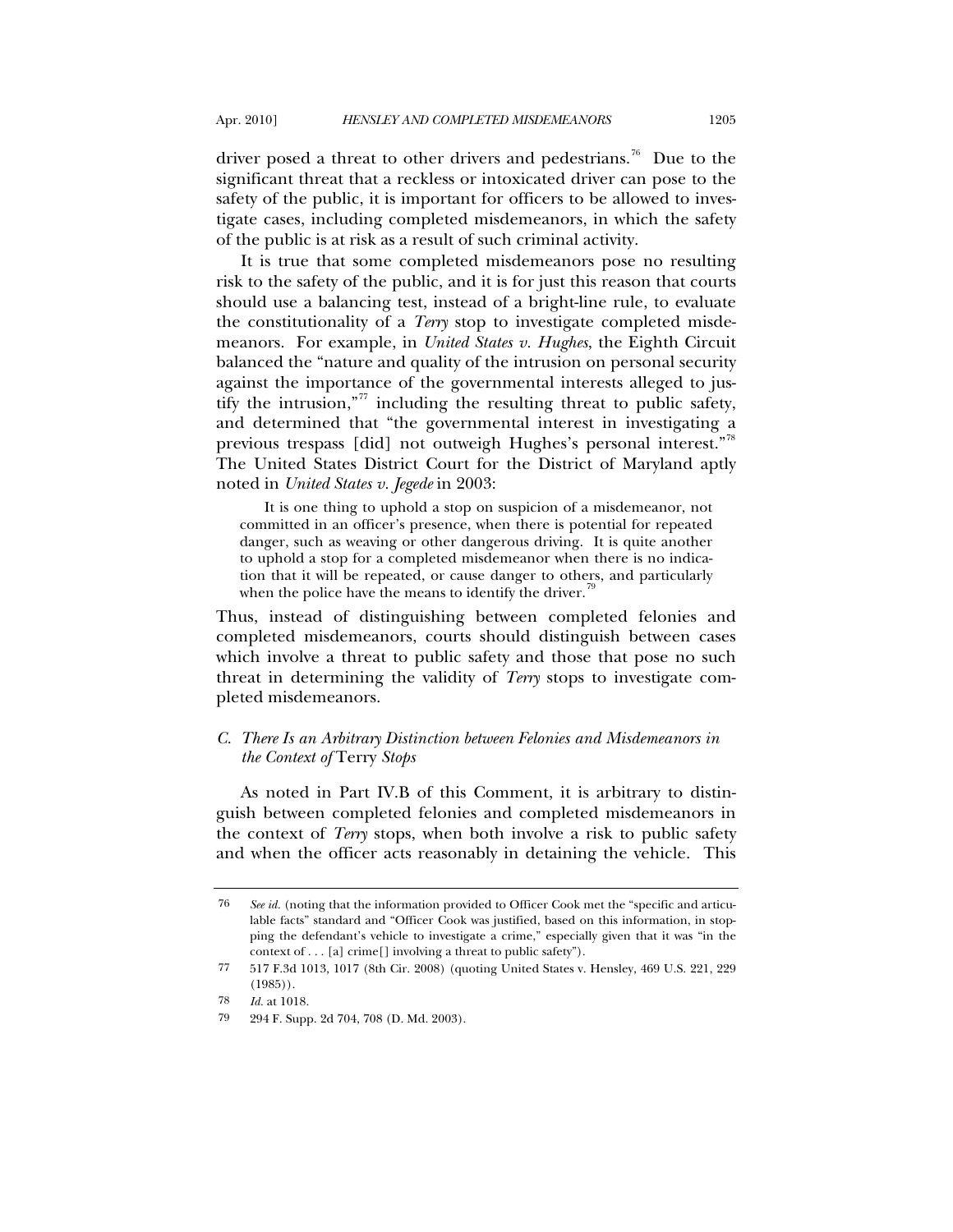driver posed a threat to other drivers and pedestrians.<sup>[76](#page-14-0)</sup> Due to the significant threat that a reckless or intoxicated driver can pose to the safety of the public, it is important for officers to be allowed to investigate cases, including completed misdemeanors, in which the safety of the public is at risk as a result of such criminal activity.

It is true that some completed misdemeanors pose no resulting risk to the safety of the public, and it is for just this reason that courts should use a balancing test, instead of a bright-line rule, to evaluate the constitutionality of a *Terry* stop to investigate completed misdemeanors. For example, in *United States v. Hughes*, the Eighth Circuit balanced the "nature and quality of the intrusion on personal security against the importance of the governmental interests alleged to jus-tify the intrusion,"<sup>[77](#page-14-1)</sup> including the resulting threat to public safety, and determined that "the governmental interest in investigating a previous trespass [did] not outweigh Hughes's personal interest."<sup>[78](#page-14-2)</sup> The United States District Court for the District of Maryland aptly noted in *United States v. Jegede* in 2003:

It is one thing to uphold a stop on suspicion of a misdemeanor, not committed in an officer's presence, when there is potential for repeated danger, such as weaving or other dangerous driving. It is quite another to uphold a stop for a completed misdemeanor when there is no indication that it will be repeated, or cause danger to others, and particularly when the police have the means to identify the driver.<sup>4</sup>

Thus, instead of distinguishing between completed felonies and completed misdemeanors, courts should distinguish between cases which involve a threat to public safety and those that pose no such threat in determining the validity of *Terry* stops to investigate completed misdemeanors.

## *C. There Is an Arbitrary Distinction between Felonies and Misdemeanors in the Context of* Terry *Stops*

As noted in Part IV.B of this Comment, it is arbitrary to distinguish between completed felonies and completed misdemeanors in the context of *Terry* stops, when both involve a risk to public safety and when the officer acts reasonably in detaining the vehicle. This

<span id="page-14-0"></span><sup>76</sup> *See id.* (noting that the information provided to Officer Cook met the "specific and articulable facts" standard and "Officer Cook was justified, based on this information, in stopping the defendant's vehicle to investigate a crime," especially given that it was "in the context of . . . [a] crime[] involving a threat to public safety").

<span id="page-14-1"></span><sup>77 517</sup> F.3d 1013, 1017 (8th Cir. 2008) (quoting United States v. Hensley, 469 U.S. 221, 229 (1985)).

<span id="page-14-2"></span><sup>78</sup> *Id.* at 1018.

<span id="page-14-3"></span><sup>79 294</sup> F. Supp. 2d 704, 708 (D. Md. 2003).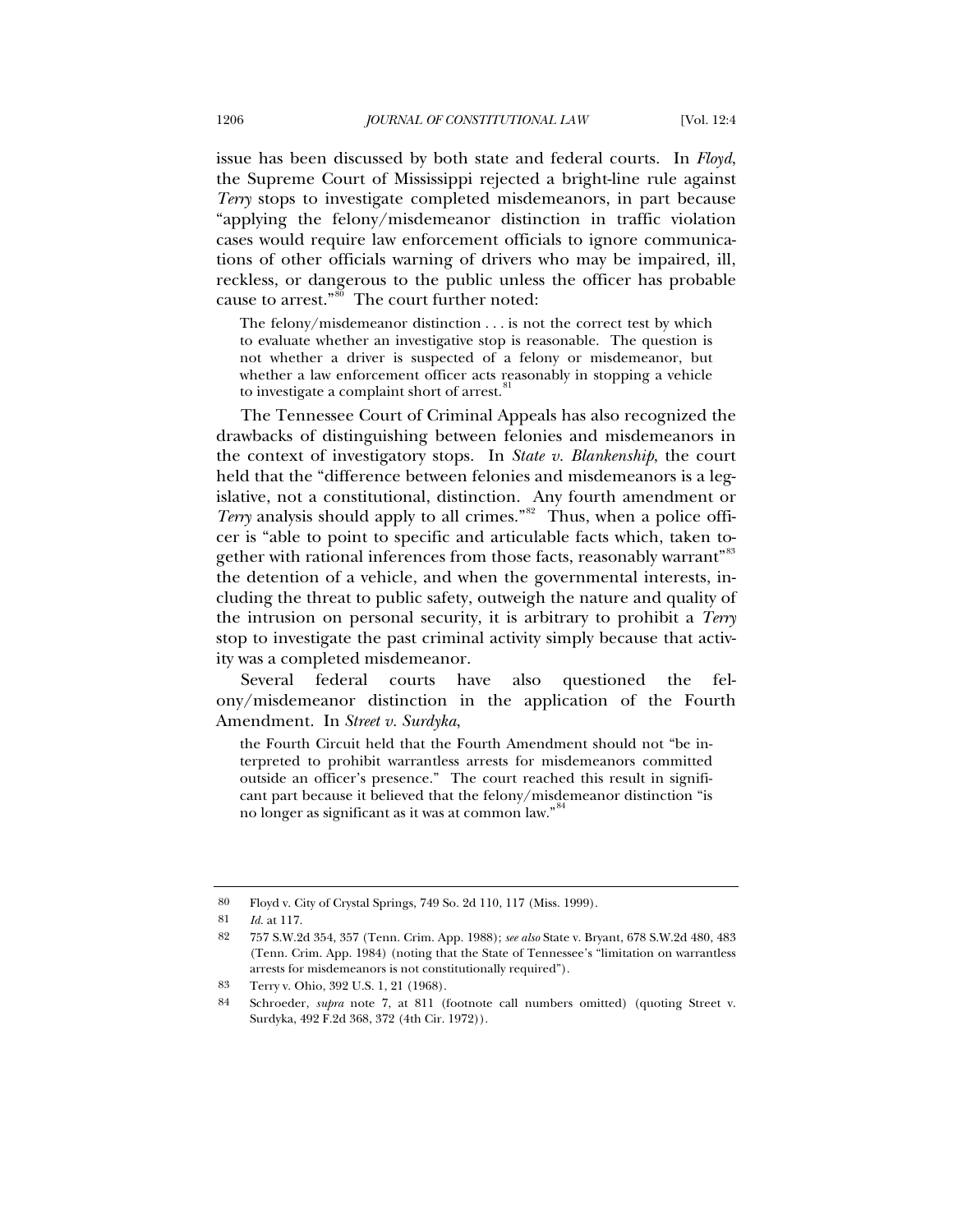issue has been discussed by both state and federal courts. In *Floyd*, the Supreme Court of Mississippi rejected a bright-line rule against *Terry* stops to investigate completed misdemeanors, in part because "applying the felony/misdemeanor distinction in traffic violation cases would require law enforcement officials to ignore communications of other officials warning of drivers who may be impaired, ill, reckless, or dangerous to the public unless the officer has probable cause to arrest." $80$  The court further noted:

The felony/misdemeanor distinction . . . is not the correct test by which to evaluate whether an investigative stop is reasonable. The question is not whether a driver is suspected of a felony or misdemeanor, but whether a law enforcement officer acts reasonably in stopping a vehicle to investigate a complaint short of arrest.<sup>[81](#page-15-1)</sup>

The Tennessee Court of Criminal Appeals has also recognized the drawbacks of distinguishing between felonies and misdemeanors in the context of investigatory stops. In *State v. Blankenship*, the court held that the "difference between felonies and misdemeanors is a legislative, not a constitutional, distinction. Any fourth amendment or *Terry* analysis should apply to all crimes."<sup>[82](#page-15-2)</sup> Thus, when a police officer is "able to point to specific and articulable facts which, taken to-gether with rational inferences from those facts, reasonably warrant<sup>"[83](#page-15-3)</sup> the detention of a vehicle, and when the governmental interests, including the threat to public safety, outweigh the nature and quality of the intrusion on personal security, it is arbitrary to prohibit a *Terry* stop to investigate the past criminal activity simply because that activity was a completed misdemeanor.

Several federal courts have also questioned the felony/misdemeanor distinction in the application of the Fourth Amendment. In *Street v. Surdyka*,

the Fourth Circuit held that the Fourth Amendment should not "be interpreted to prohibit warrantless arrests for misdemeanors committed outside an officer's presence." The court reached this result in significant part because it believed that the felony/misdemeanor distinction "is no longer as significant as it was at common law."

<span id="page-15-0"></span><sup>80</sup> Floyd v. City of Crystal Springs, 749 So. 2d 110, 117 (Miss. 1999).

<span id="page-15-1"></span><sup>81</sup> *Id.* at 117.

<span id="page-15-2"></span><sup>82 757</sup> S.W.2d 354, 357 (Tenn. Crim. App. 1988); *see also* State v. Bryant, 678 S.W.2d 480, 483 (Tenn. Crim. App. 1984) (noting that the State of Tennessee's "limitation on warrantless arrests for misdemeanors is not constitutionally required").

<span id="page-15-3"></span><sup>83</sup> Terry v. Ohio, 392 U.S. 1, 21 (1968).

<span id="page-15-4"></span><sup>84</sup> Schroeder, *supra* note 7, at 811 (footnote call numbers omitted) (quoting Street v. Surdyka, 492 F.2d 368, 372 (4th Cir. 1972)).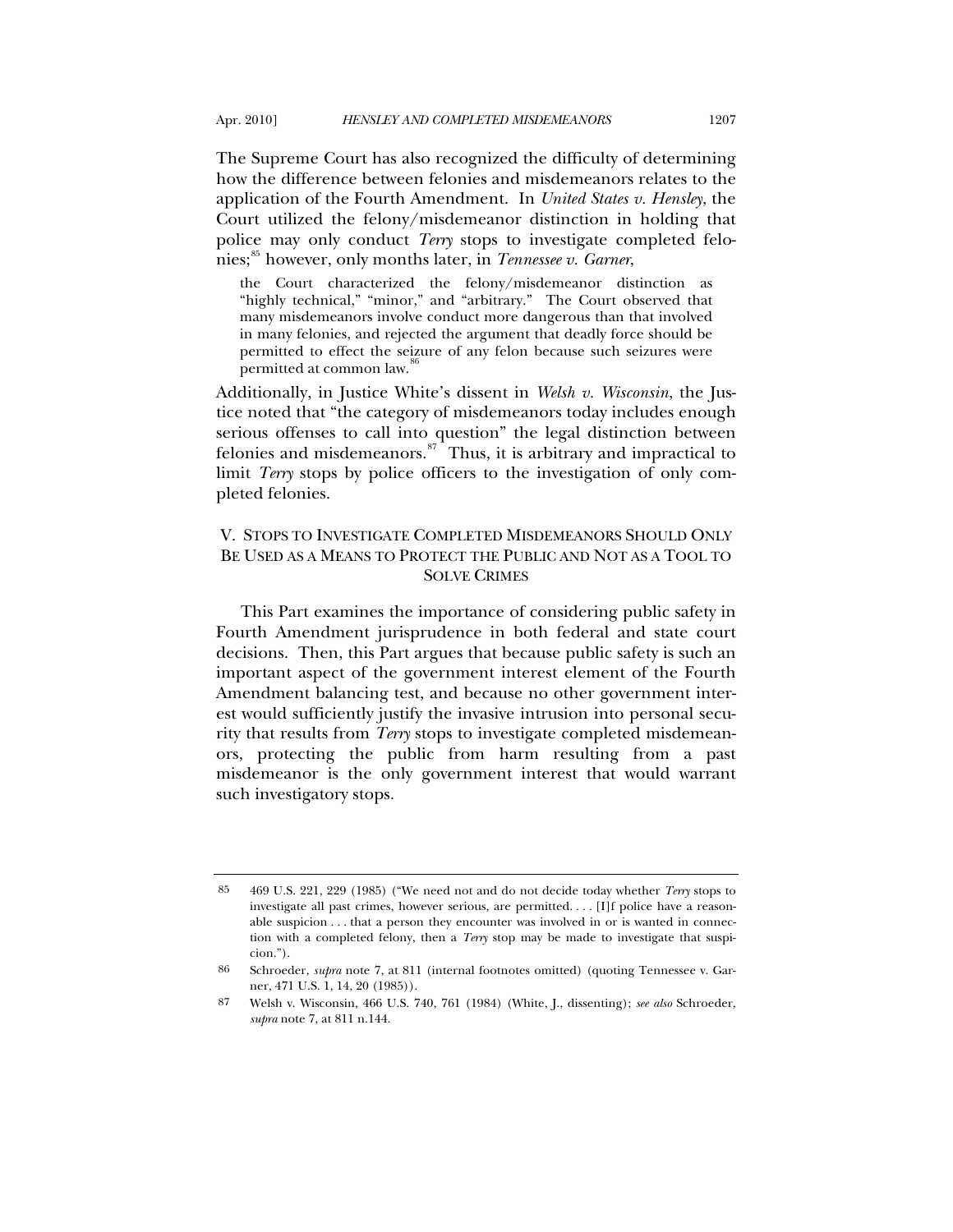The Supreme Court has also recognized the difficulty of determining how the difference between felonies and misdemeanors relates to the application of the Fourth Amendment. In *United States v. Hensley*, the Court utilized the felony/misdemeanor distinction in holding that police may only conduct *Terry* stops to investigate completed felo-nies;<sup>[85](#page-16-0)</sup> however, only months later, in *Tennessee v. Garner*,

the Court characterized the felony/misdemeanor distinction as "highly technical," "minor," and "arbitrary." The Court observed that many misdemeanors involve conduct more dangerous than that involved in many felonies, and rejected the argument that deadly force should be permitted to effect the seizure of any felon because such seizures were permitted at common law.<sup>[86](#page-16-1)</sup>

Additionally, in Justice White's dissent in *Welsh v. Wisconsin*, the Justice noted that "the category of misdemeanors today includes enough serious offenses to call into question" the legal distinction between felonies and misdemeanors. $s^2$  Thus, it is arbitrary and impractical to limit *Terry* stops by police officers to the investigation of only completed felonies.

# V. STOPS TO INVESTIGATE COMPLETED MISDEMEANORS SHOULD ONLY BE USED AS A MEANS TO PROTECT THE PUBLIC AND NOT AS A TOOL TO SOLVE CRIMES

This Part examines the importance of considering public safety in Fourth Amendment jurisprudence in both federal and state court decisions. Then, this Part argues that because public safety is such an important aspect of the government interest element of the Fourth Amendment balancing test, and because no other government interest would sufficiently justify the invasive intrusion into personal security that results from *Terry* stops to investigate completed misdemeanors, protecting the public from harm resulting from a past misdemeanor is the only government interest that would warrant such investigatory stops.

<span id="page-16-0"></span><sup>85 469</sup> U.S. 221, 229 (1985) ("We need not and do not decide today whether *Terry* stops to investigate all past crimes, however serious, are permitted. . . . [I]f police have a reasonable suspicion . . . that a person they encounter was involved in or is wanted in connection with a completed felony, then a *Terry* stop may be made to investigate that suspicion.").

<span id="page-16-1"></span><sup>86</sup> Schroeder, *supra* note 7, at 811 (internal footnotes omitted) (quoting Tennessee v. Garner, 471 U.S. 1, 14, 20 (1985)).

<span id="page-16-2"></span><sup>87</sup> Welsh v. Wisconsin, 466 U.S. 740, 761 (1984) (White, J., dissenting); *see also* Schroeder, *supra* note 7, at 811 n.144.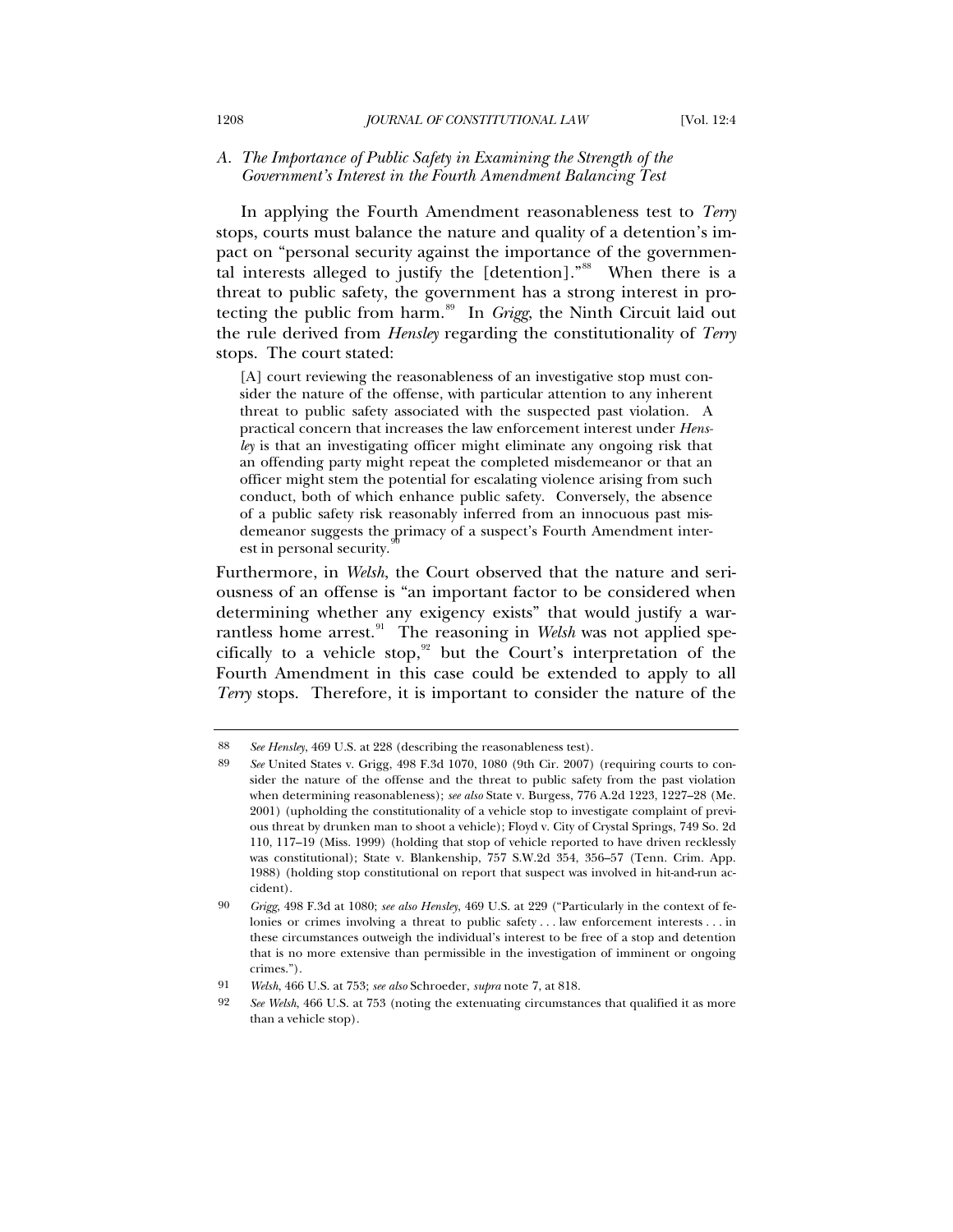### *A. The Importance of Public Safety in Examining the Strength of the Government's Interest in the Fourth Amendment Balancing Test*

In applying the Fourth Amendment reasonableness test to *Terry* stops, courts must balance the nature and quality of a detention's impact on "personal security against the importance of the governmen-tal interests alleged to justify the [detention]."<sup>[88](#page-17-0)</sup> When there is a threat to public safety, the government has a strong interest in protecting the public from harm.[89](#page-17-1) In *Grigg*, the Ninth Circuit laid out the rule derived from *Hensley* regarding the constitutionality of *Terry* stops. The court stated:

[A] court reviewing the reasonableness of an investigative stop must consider the nature of the offense, with particular attention to any inherent threat to public safety associated with the suspected past violation. A practical concern that increases the law enforcement interest under *Hensley* is that an investigating officer might eliminate any ongoing risk that an offending party might repeat the completed misdemeanor or that an officer might stem the potential for escalating violence arising from such conduct, both of which enhance public safety. Conversely, the absence of a public safety risk reasonably inferred from an innocuous past misdemeanor suggests the primacy of a suspect's Fourth Amendment interest in personal security.

Furthermore, in *Welsh*, the Court observed that the nature and seriousness of an offense is "an important factor to be considered when determining whether any exigency exists" that would justify a war-rantless home arrest.<sup>[91](#page-17-3)</sup> The reasoning in *Welsh* was not applied specifically to a vehicle stop, $92$  but the Court's interpretation of the Fourth Amendment in this case could be extended to apply to all *Terry* stops. Therefore, it is important to consider the nature of the

<span id="page-17-1"></span><span id="page-17-0"></span><sup>88</sup> *See Hensley*, 469 U.S. at 228 (describing the reasonableness test).

<sup>89</sup> *See* United States v. Grigg, 498 F.3d 1070, 1080 (9th Cir. 2007) (requiring courts to consider the nature of the offense and the threat to public safety from the past violation when determining reasonableness); *see also* State v. Burgess, 776 A.2d 1223, 1227–28 (Me. 2001) (upholding the constitutionality of a vehicle stop to investigate complaint of previous threat by drunken man to shoot a vehicle); Floyd v. City of Crystal Springs, 749 So. 2d 110, 117–19 (Miss. 1999) (holding that stop of vehicle reported to have driven recklessly was constitutional); State v. Blankenship, 757 S.W.2d 354, 356–57 (Tenn. Crim. App. 1988) (holding stop constitutional on report that suspect was involved in hit-and-run accident).

<span id="page-17-2"></span><sup>90</sup> *Grigg*, 498 F.3d at 1080; *see also Hensley*, 469 U.S. at 229 ("Particularly in the context of felonies or crimes involving a threat to public safety . . . law enforcement interests . . . in these circumstances outweigh the individual's interest to be free of a stop and detention that is no more extensive than permissible in the investigation of imminent or ongoing crimes.").

<span id="page-17-4"></span><span id="page-17-3"></span><sup>91</sup> *Welsh*, 466 U.S. at 753; *see also* Schroeder, *supra* note 7, at 818.

<sup>92</sup> *See Welsh*, 466 U.S. at 753 (noting the extenuating circumstances that qualified it as more than a vehicle stop).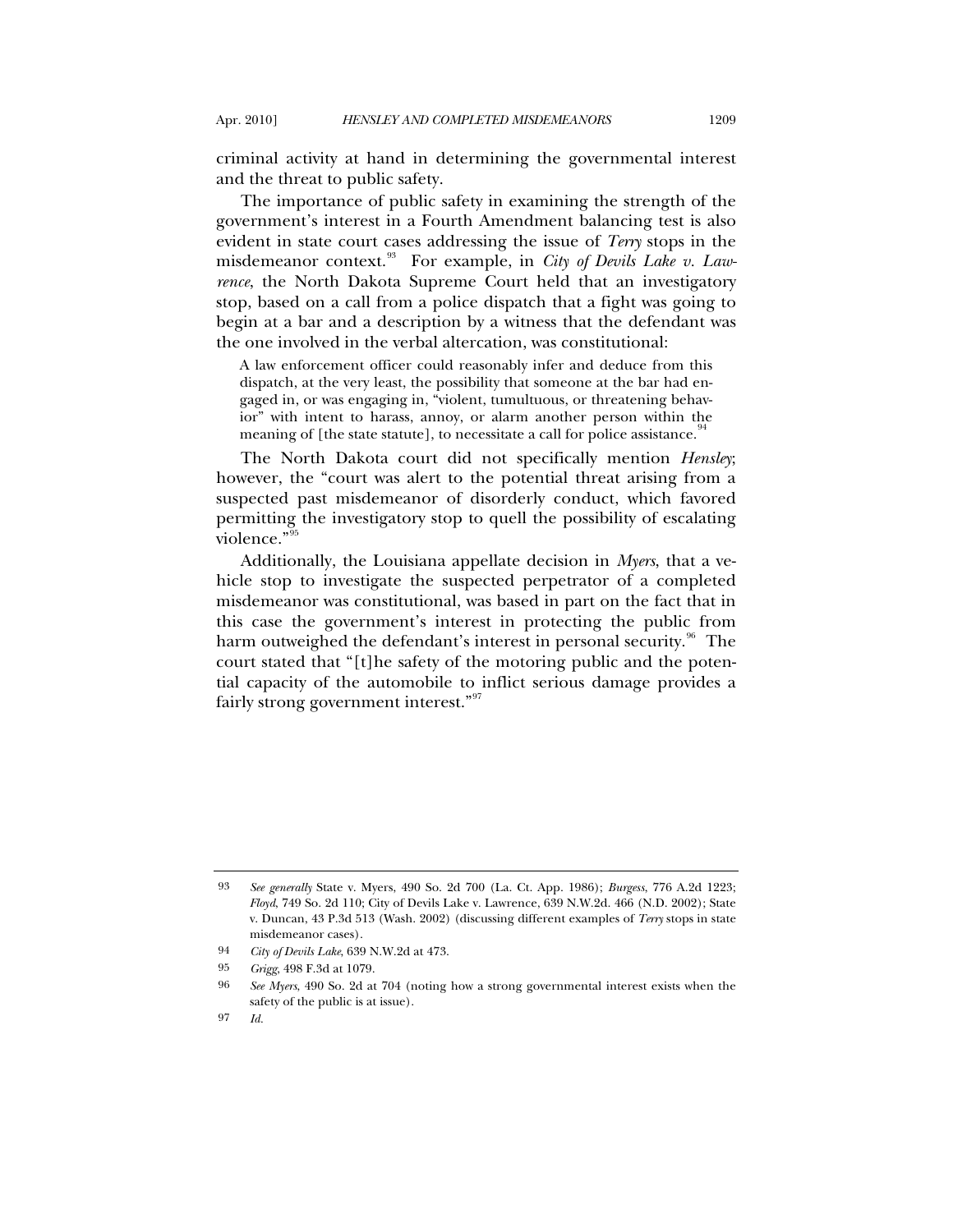criminal activity at hand in determining the governmental interest and the threat to public safety.

The importance of public safety in examining the strength of the government's interest in a Fourth Amendment balancing test is also evident in state court cases addressing the issue of *Terry* stops in the misdemeanor context.<sup>[93](#page-18-0)</sup> For example, in *City of Devils Lake v. Lawrence*, the North Dakota Supreme Court held that an investigatory stop, based on a call from a police dispatch that a fight was going to begin at a bar and a description by a witness that the defendant was the one involved in the verbal altercation, was constitutional:

A law enforcement officer could reasonably infer and deduce from this dispatch, at the very least, the possibility that someone at the bar had engaged in, or was engaging in, "violent, tumultuous, or threatening behavior" with intent to harass, annoy, or alarm another person within the meaning of [the state statute], to necessitate a call for police assistance.<sup>9</sup>

The North Dakota court did not specifically mention *Hensley*; however, the "court was alert to the potential threat arising from a suspected past misdemeanor of disorderly conduct, which favored permitting the investigatory stop to quell the possibility of escalating violence."<sup>[95](#page-18-2)</sup>

Additionally, the Louisiana appellate decision in *Myers*, that a vehicle stop to investigate the suspected perpetrator of a completed misdemeanor was constitutional, was based in part on the fact that in this case the government's interest in protecting the public from harm outweighed the defendant's interest in personal security.<sup>[96](#page-18-3)</sup> The court stated that "[t]he safety of the motoring public and the potential capacity of the automobile to inflict serious damage provides a fairly strong government interest."[97](#page-18-4)

<span id="page-18-0"></span><sup>93</sup> *See generally* State v. Myers, 490 So. 2d 700 (La. Ct. App. 1986); *Burgess*, 776 A.2d 1223; *Floyd*, 749 So. 2d 110; City of Devils Lake v. Lawrence, 639 N.W.2d. 466 (N.D. 2002); State v. Duncan, 43 P.3d 513 (Wash. 2002) (discussing different examples of *Terry* stops in state misdemeanor cases).

<span id="page-18-1"></span><sup>94</sup> *City of Devils Lake*, 639 N.W.2d at 473.

<sup>95</sup> *Grigg*, 498 F.3d at 1079.

<span id="page-18-4"></span><span id="page-18-3"></span><span id="page-18-2"></span><sup>96</sup> *See Myers*, 490 So. 2d at 704 (noting how a strong governmental interest exists when the safety of the public is at issue).

<sup>97</sup> *Id.*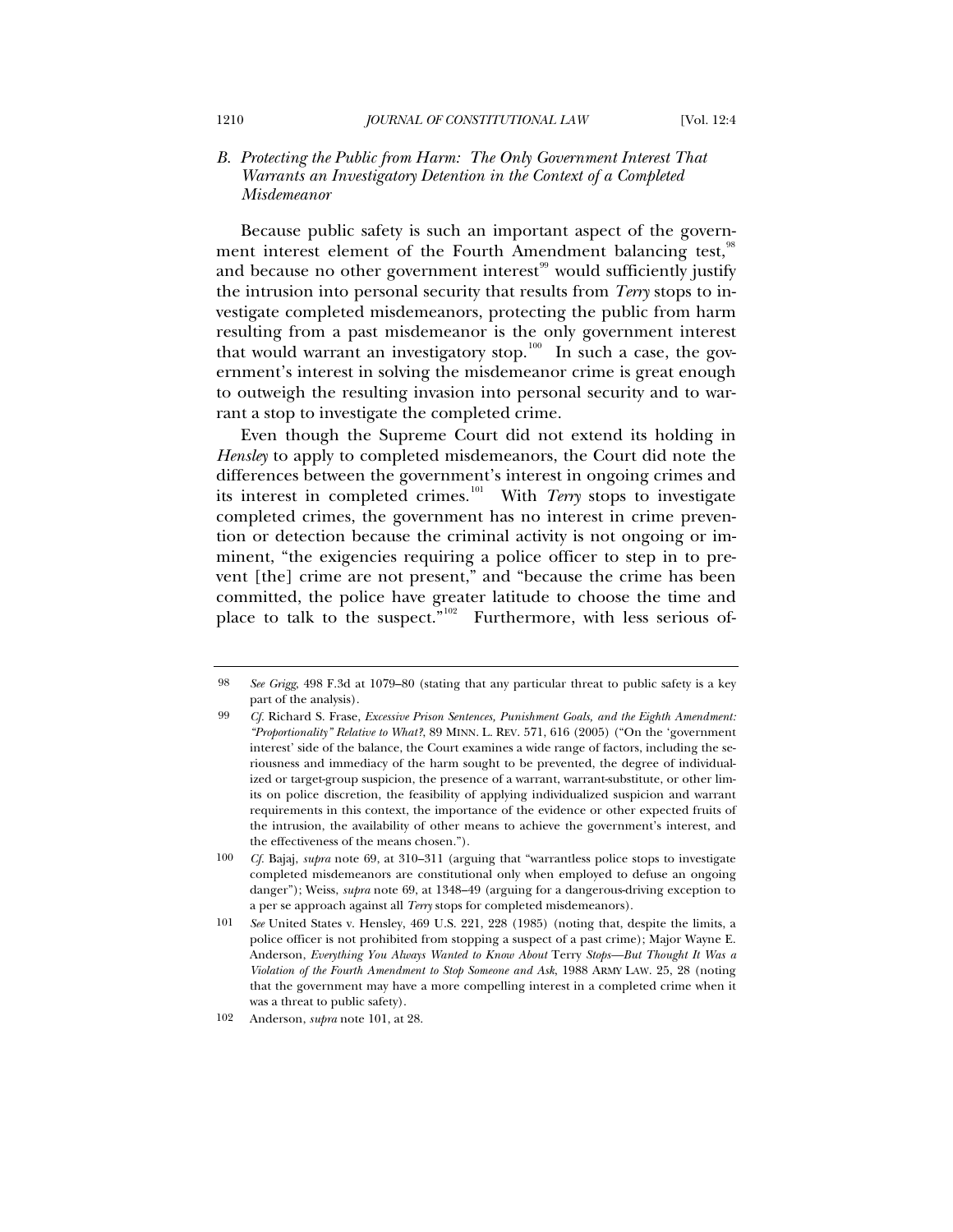### *B. Protecting the Public from Harm: The Only Government Interest That Warrants an Investigatory Detention in the Context of a Completed Misdemeanor*

Because public safety is such an important aspect of the govern-ment interest element of the Fourth Amendment balancing test,<sup>[98](#page-19-0)</sup> and because no other government interest<sup>[99](#page-19-1)</sup> would sufficiently justify the intrusion into personal security that results from *Terry* stops to investigate completed misdemeanors, protecting the public from harm resulting from a past misdemeanor is the only government interest that would warrant an investigatory stop. $100$  In such a case, the government's interest in solving the misdemeanor crime is great enough to outweigh the resulting invasion into personal security and to warrant a stop to investigate the completed crime.

Even though the Supreme Court did not extend its holding in *Hensley* to apply to completed misdemeanors, the Court did note the differences between the government's interest in ongoing crimes and its interest in completed crimes.[101](#page-19-3) With *Terry* stops to investigate completed crimes, the government has no interest in crime prevention or detection because the criminal activity is not ongoing or imminent, "the exigencies requiring a police officer to step in to prevent [the] crime are not present," and "because the crime has been committed, the police have greater latitude to choose the time and place to talk to the suspect."<sup>[102](#page-19-4)</sup> Furthermore, with less serious of-

<span id="page-19-0"></span><sup>98</sup> *See Grigg*, 498 F.3d at 1079–80 (stating that any particular threat to public safety is a key part of the analysis).

<span id="page-19-1"></span><sup>99</sup> *Cf.* Richard S. Frase, *Excessive Prison Sentences, Punishment Goals, and the Eighth Amendment: "Proportionality" Relative to What?*, 89 MINN. L. REV. 571, 616 (2005) ("On the 'government interest' side of the balance, the Court examines a wide range of factors, including the seriousness and immediacy of the harm sought to be prevented, the degree of individualized or target-group suspicion, the presence of a warrant, warrant-substitute, or other limits on police discretion, the feasibility of applying individualized suspicion and warrant requirements in this context, the importance of the evidence or other expected fruits of the intrusion, the availability of other means to achieve the government's interest, and the effectiveness of the means chosen.").

<span id="page-19-2"></span><sup>100</sup> *Cf.* Bajaj, *supra* note 69, at 310–311 (arguing that "warrantless police stops to investigate completed misdemeanors are constitutional only when employed to defuse an ongoing danger"); Weiss, *supra* note 69, at 1348–49 (arguing for a dangerous-driving exception to a per se approach against all *Terry* stops for completed misdemeanors).

<span id="page-19-3"></span><sup>101</sup> *See* United States v. Hensley, 469 U.S. 221, 228 (1985) (noting that, despite the limits, a police officer is not prohibited from stopping a suspect of a past crime); Major Wayne E. Anderson, *Everything You Always Wanted to Know About* Terry *Stops—But Thought It Was a Violation of the Fourth Amendment to Stop Someone and Ask*, 1988 ARMY LAW. 25, 28 (noting that the government may have a more compelling interest in a completed crime when it was a threat to public safety).

<span id="page-19-4"></span><sup>102</sup> Anderson, *supra* note 101, at 28.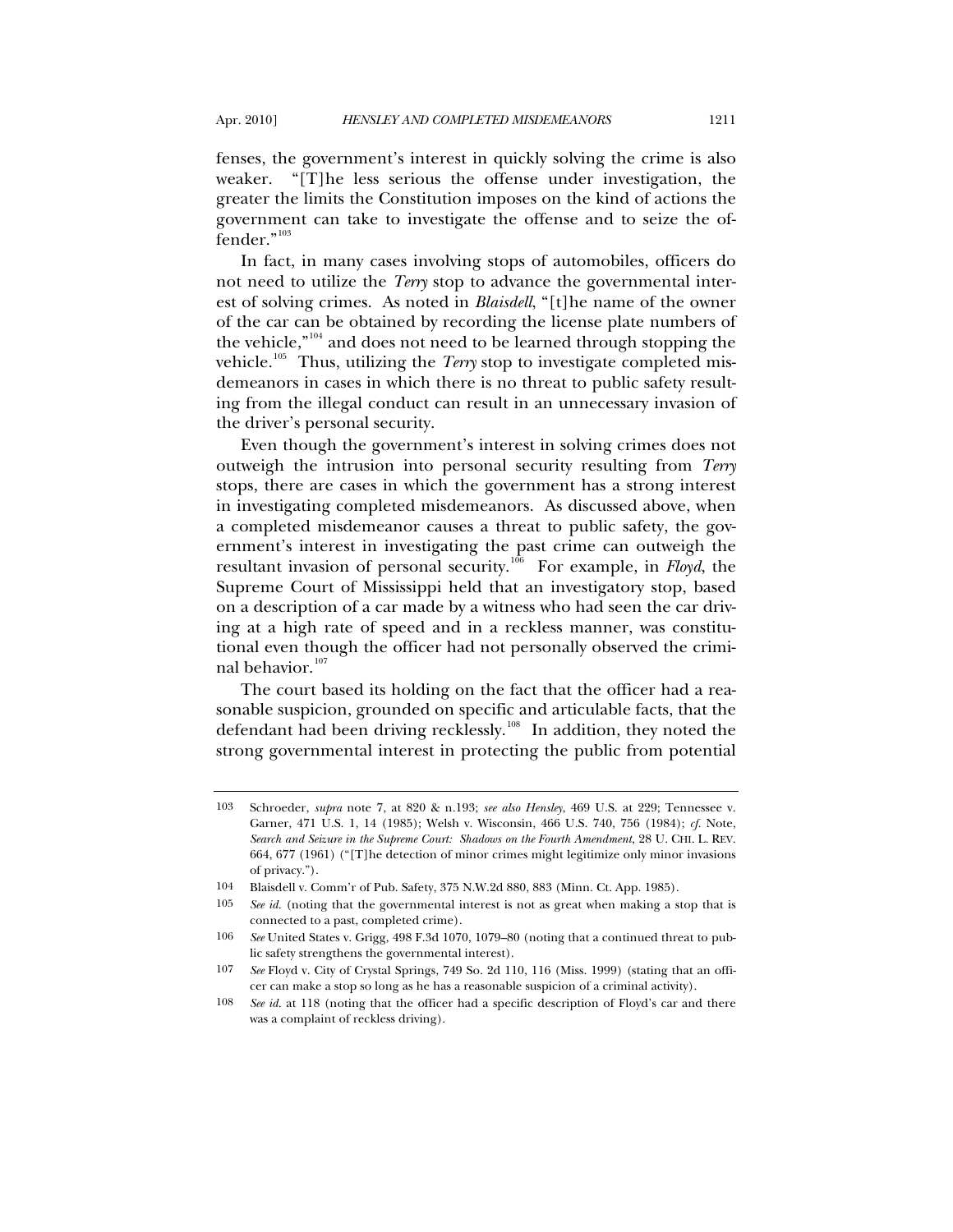fenses, the government's interest in quickly solving the crime is also weaker. "[T]he less serious the offense under investigation, the greater the limits the Constitution imposes on the kind of actions the government can take to investigate the offense and to seize the of-fender."<sup>[103](#page-20-0)</sup>

In fact, in many cases involving stops of automobiles, officers do not need to utilize the *Terry* stop to advance the governmental interest of solving crimes. As noted in *Blaisdell*, "[t]he name of the owner of the car can be obtained by recording the license plate numbers of the vehicle,"[104](#page-20-1) and does not need to be learned through stopping the vehicle.<sup>[105](#page-20-2)</sup> Thus, utilizing the *Terry* stop to investigate completed misdemeanors in cases in which there is no threat to public safety resulting from the illegal conduct can result in an unnecessary invasion of the driver's personal security.

Even though the government's interest in solving crimes does not outweigh the intrusion into personal security resulting from *Terry* stops, there are cases in which the government has a strong interest in investigating completed misdemeanors. As discussed above, when a completed misdemeanor causes a threat to public safety, the government's interest in investigating the past crime can outweigh the resultant invasion of personal security.<sup>[106](#page-20-3)</sup> For example, in *Floyd*, the Supreme Court of Mississippi held that an investigatory stop, based on a description of a car made by a witness who had seen the car driving at a high rate of speed and in a reckless manner, was constitutional even though the officer had not personally observed the crimi-nal behavior.<sup>[107](#page-20-4)</sup>

The court based its holding on the fact that the officer had a reasonable suspicion, grounded on specific and articulable facts, that the defendant had been driving recklessly.<sup>[108](#page-20-5)</sup> In addition, they noted the strong governmental interest in protecting the public from potential

<span id="page-20-0"></span><sup>103</sup> Schroeder, *supra* note 7, at 820 & n.193; *see also Hensley*, 469 U.S. at 229; Tennessee v. Garner, 471 U.S. 1, 14 (1985); Welsh v. Wisconsin, 466 U.S. 740, 756 (1984); *cf.* Note, *Search and Seizure in the Supreme Court: Shadows on the Fourth Amendment*, 28 U. CHI. L. REV. 664, 677 (1961) ("[T]he detection of minor crimes might legitimize only minor invasions of privacy.").

<sup>104</sup> Blaisdell v. Comm'r of Pub. Safety, 375 N.W.2d 880, 883 (Minn. Ct. App. 1985).

<span id="page-20-2"></span><span id="page-20-1"></span><sup>105</sup> *See id.* (noting that the governmental interest is not as great when making a stop that is connected to a past, completed crime).

<span id="page-20-3"></span><sup>106</sup> *See* United States v. Grigg, 498 F.3d 1070, 1079–80 (noting that a continued threat to public safety strengthens the governmental interest).

<span id="page-20-4"></span><sup>107</sup> *See* Floyd v. City of Crystal Springs, 749 So. 2d 110, 116 (Miss. 1999) (stating that an officer can make a stop so long as he has a reasonable suspicion of a criminal activity).

<span id="page-20-5"></span><sup>108</sup> *See id.* at 118 (noting that the officer had a specific description of Floyd's car and there was a complaint of reckless driving).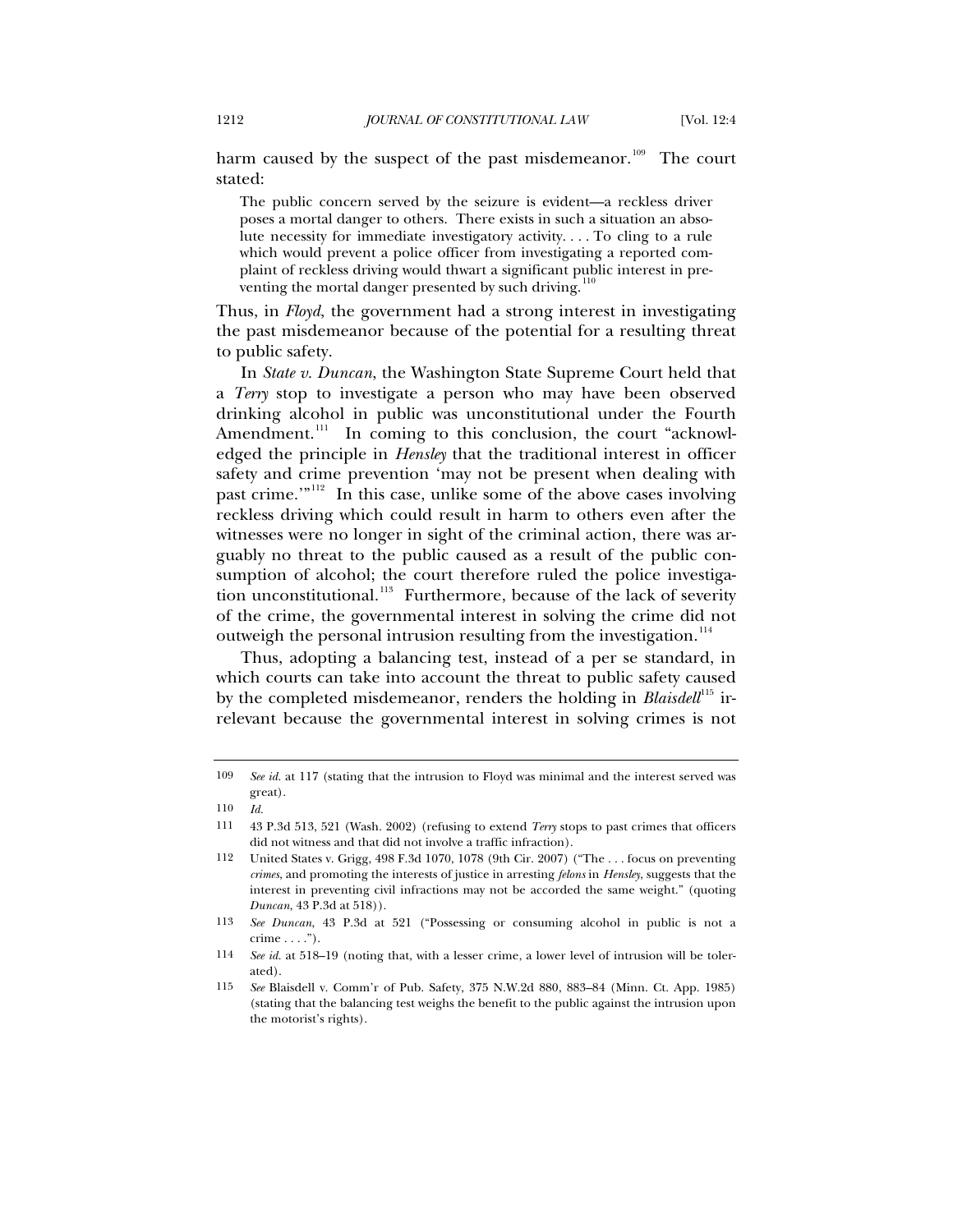harm caused by the suspect of the past misdemeanor.<sup>[109](#page-21-0)</sup> The court stated:

The public concern served by the seizure is evident—a reckless driver poses a mortal danger to others. There exists in such a situation an absolute necessity for immediate investigatory activity. . . . To cling to a rule which would prevent a police officer from investigating a reported complaint of reckless driving would thwart a significant public interest in preventing the mortal danger presented by such driving.

Thus, in *Floyd*, the government had a strong interest in investigating the past misdemeanor because of the potential for a resulting threat to public safety.

In *State v. Duncan*, the Washington State Supreme Court held that a *Terry* stop to investigate a person who may have been observed drinking alcohol in public was unconstitutional under the Fourth Amendment.<sup>[111](#page-21-2)</sup> In coming to this conclusion, the court "acknowledged the principle in *Hensley* that the traditional interest in officer safety and crime prevention 'may not be present when dealing with past crime.<sup>""[112](#page-21-3)</sup> In this case, unlike some of the above cases involving reckless driving which could result in harm to others even after the witnesses were no longer in sight of the criminal action, there was arguably no threat to the public caused as a result of the public consumption of alcohol; the court therefore ruled the police investiga-tion unconstitutional.<sup>[113](#page-21-4)</sup> Furthermore, because of the lack of severity of the crime, the governmental interest in solving the crime did not outweigh the personal intrusion resulting from the investigation.<sup>[114](#page-21-5)</sup>

Thus, adopting a balancing test, instead of a per se standard, in which courts can take into account the threat to public safety caused by the completed misdemeanor, renders the holding in *Blaisdell*<sup>[115](#page-21-6)</sup> irrelevant because the governmental interest in solving crimes is not

<span id="page-21-0"></span><sup>109</sup> *See id.* at 117 (stating that the intrusion to Floyd was minimal and the interest served was great).

<sup>110</sup> *Id.*

<span id="page-21-2"></span><span id="page-21-1"></span><sup>111 43</sup> P.3d 513, 521 (Wash. 2002) (refusing to extend *Terry* stops to past crimes that officers did not witness and that did not involve a traffic infraction).

<span id="page-21-3"></span><sup>112</sup> United States v. Grigg, 498 F.3d 1070, 1078 (9th Cir. 2007) ("The . . . focus on preventing *crimes*, and promoting the interests of justice in arresting *felons* in *Hensley*, suggests that the interest in preventing civil infractions may not be accorded the same weight." (quoting *Duncan*, 43 P.3d at 518)).

<span id="page-21-4"></span><sup>113</sup> *See Duncan*, 43 P.3d at 521 ("Possessing or consuming alcohol in public is not a  $\text{ crime} \dots$ ").

<span id="page-21-5"></span><sup>114</sup> *See id.* at 518–19 (noting that, with a lesser crime, a lower level of intrusion will be tolerated).

<span id="page-21-6"></span><sup>115</sup> *See* Blaisdell v. Comm'r of Pub. Safety, 375 N.W.2d 880, 883–84 (Minn. Ct. App. 1985) (stating that the balancing test weighs the benefit to the public against the intrusion upon the motorist's rights).